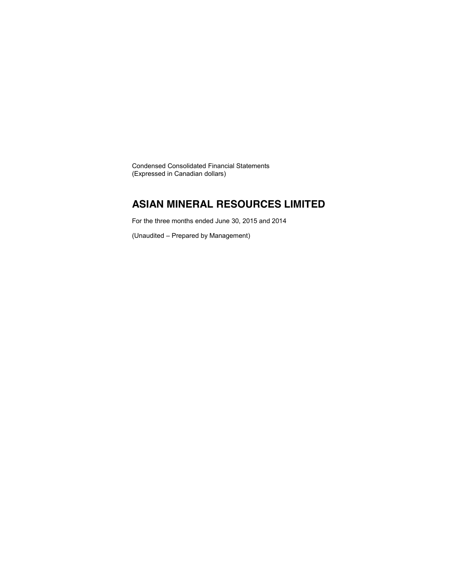Condensed Consolidated Financial Statements (Expressed in Canadian dollars)

### **ASIAN MINERAL RESOURCES LIMITED**

For the three months ended June 30, 2015 and 2014

(Unaudited – Prepared by Management)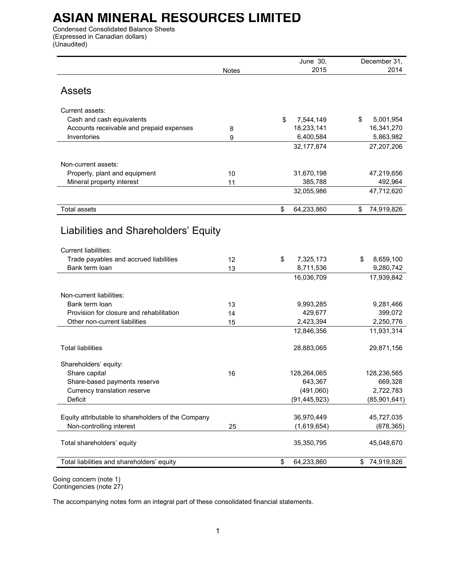Condensed Consolidated Balance Sheets (Expressed in Canadian dollars) (Unaudited)

|                                                            |       | June 30,              | December 31,          |
|------------------------------------------------------------|-------|-----------------------|-----------------------|
|                                                            | Notes | 2015                  | 2014                  |
|                                                            |       |                       |                       |
| <b>Assets</b>                                              |       |                       |                       |
|                                                            |       |                       |                       |
| Current assets:                                            |       |                       |                       |
| Cash and cash equivalents                                  |       | \$<br>7,544,149       | \$<br>5,001,954       |
| Accounts receivable and prepaid expenses                   | 8     | 18,233,141            | 16,341,270            |
| Inventories                                                | 9     | 6,400,584             | 5,863,982             |
|                                                            |       | 32, 177, 874          | 27,207,206            |
|                                                            |       |                       |                       |
| Non-current assets:                                        |       |                       |                       |
| Property, plant and equipment<br>Mineral property interest | 10    | 31,670,198<br>385,788 | 47,219,656<br>492,964 |
|                                                            | 11    | 32,055,986            | 47,712,620            |
|                                                            |       |                       |                       |
| <b>Total assets</b>                                        |       | \$<br>64,233,860      | \$<br>74,919,826      |
|                                                            |       |                       |                       |
| Liabilities and Shareholders' Equity                       |       |                       |                       |
|                                                            |       |                       |                       |
| <b>Current liabilities:</b>                                |       |                       |                       |
| Trade payables and accrued liabilities                     | 12    | \$<br>7,325,173       | 8,659,100<br>S        |
| Bank term loan                                             | 13    | 8,711,536             | 9,280,742             |
|                                                            |       | 16,036,709            | 17,939,842            |
|                                                            |       |                       |                       |
| Non-current liabilities:                                   |       |                       |                       |
| Bank term loan                                             | 13    | 9,993,285             | 9,281,466             |
| Provision for closure and rehabilitation                   | 14    | 429,677               | 399,072               |
| Other non-current liabilities                              | 15    | 2,423,394             | 2,250,776             |
|                                                            |       | 12,846,356            | 11,931,314            |
|                                                            |       |                       |                       |
| <b>Total liabilities</b>                                   |       | 28,883,065            | 29,871,156            |
|                                                            |       |                       |                       |
| Shareholders' equity:<br>Share capital                     | 16    | 128,264,065           | 128,236,565           |
| Share-based payments reserve                               |       | 643,367               | 669,328               |
| Currency translation reserve                               |       | (491,060)             | 2,722,783             |
| Deficit                                                    |       | (91, 445, 923)        | (85,901,641)          |
|                                                            |       |                       |                       |
| Equity attributable to shareholders of the Company         |       | 36,970,449            | 45,727,035            |
| Non-controlling interest                                   | 25    | (1,619,654)           | (678, 365)            |
|                                                            |       |                       |                       |
| Total shareholders' equity                                 |       | 35,350,795            | 45,048,670            |
|                                                            |       |                       |                       |
| Total liabilities and shareholders' equity                 |       | \$<br>64,233,860      | 74,919,826<br>\$      |
|                                                            |       |                       |                       |

Going concern (note 1) Contingencies (note 27)

The accompanying notes form an integral part of these consolidated financial statements.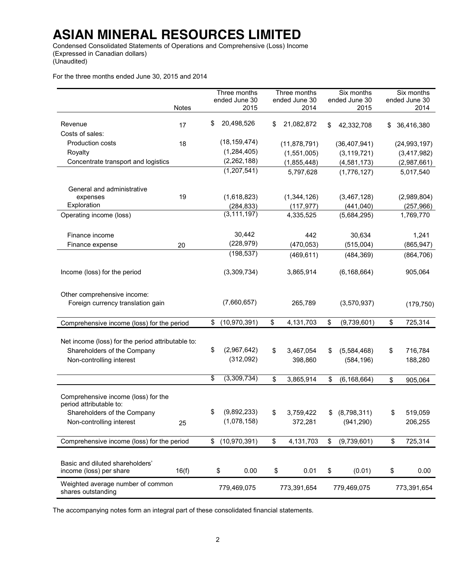Condensed Consolidated Statements of Operations and Comprehensive (Loss) Income (Expressed in Canadian dollars) (Unaudited)

For the three months ended June 30, 2015 and 2014

|                                                                |       | Three months         | Three months     | Six months          | Six months       |
|----------------------------------------------------------------|-------|----------------------|------------------|---------------------|------------------|
|                                                                |       | ended June 30        | ended June 30    | ended June 30       | ended June 30    |
|                                                                | Notes | 2015                 | 2014             | 2015                | 2014             |
| Revenue                                                        | 17    | \$<br>20,498,526     | \$<br>21,082,872 | \$<br>42,332,708    | \$<br>36,416,380 |
| Costs of sales:                                                |       |                      |                  |                     |                  |
| Production costs                                               | 18    | (18, 159, 474)       | (11, 878, 791)   | (36, 407, 941)      | (24, 993, 197)   |
| Royalty                                                        |       | (1, 284, 405)        | (1,551,005)      | (3, 119, 721)       | (3,417,982)      |
| Concentrate transport and logistics                            |       | (2, 262, 188)        | (1,855,448)      | (4, 581, 173)       | (2,987,661)      |
|                                                                |       | (1,207,541)          | 5,797,628        | (1,776,127)         | 5,017,540        |
|                                                                |       |                      |                  |                     |                  |
| General and administrative                                     |       |                      |                  |                     |                  |
| expenses                                                       | 19    | (1,618,823)          | (1,344,126)      | (3,467,128)         | (2,989,804)      |
| Exploration                                                    |       | (284, 833)           | (117, 977)       | (441, 040)          | (257, 966)       |
| Operating income (loss)                                        |       | (3, 111, 197)        | 4,335,525        | (5,684,295)         | 1,769,770        |
|                                                                |       |                      |                  |                     |                  |
| Finance income                                                 |       | 30,442               | 442              | 30,634              | 1,241            |
| Finance expense                                                | 20    | (228, 979)           | (470, 053)       | (515,004)           | (865, 947)       |
|                                                                |       | (198, 537)           | (469, 611)       | (484, 369)          | (864, 706)       |
|                                                                |       |                      |                  |                     |                  |
| Income (loss) for the period                                   |       | (3,309,734)          | 3,865,914        | (6, 168, 664)       | 905,064          |
|                                                                |       |                      |                  |                     |                  |
|                                                                |       |                      |                  |                     |                  |
| Other comprehensive income:                                    |       | (7,660,657)          |                  |                     |                  |
| Foreign currency translation gain                              |       |                      | 265,789          | (3,570,937)         | (179, 750)       |
|                                                                |       |                      |                  |                     |                  |
| Comprehensive income (loss) for the period                     |       | \$<br>(10, 970, 391) | \$<br>4,131,703  | \$<br>(9,739,601)   | \$<br>725,314    |
|                                                                |       |                      |                  |                     |                  |
| Net income (loss) for the period attributable to:              |       |                      |                  |                     |                  |
| Shareholders of the Company                                    |       | \$<br>(2,967,642)    | \$<br>3,467,054  | \$<br>(5,584,468)   | \$<br>716,784    |
| Non-controlling interest                                       |       | (312,092)            | 398,860          | (584, 196)          | 188,280          |
|                                                                |       |                      |                  |                     |                  |
|                                                                |       | \$<br>(3,309,734)    | \$<br>3,865,914  | \$<br>(6, 168, 664) | \$<br>905,064    |
|                                                                |       |                      |                  |                     |                  |
| Comprehensive income (loss) for the<br>period attributable to: |       |                      |                  |                     |                  |
| Shareholders of the Company                                    |       | \$<br>(9,892,233)    | \$<br>3,759,422  | \$<br>(8,798,311)   | \$<br>519,059    |
| Non-controlling interest                                       | 25    | (1,078,158)          | 372,281          | (941, 290)          | 206,255          |
|                                                                |       |                      |                  |                     |                  |
| Comprehensive income (loss) for the period                     |       | \$<br>(10, 970, 391) | \$<br>4,131,703  | \$<br>(9,739,601)   | \$<br>725,314    |
|                                                                |       |                      |                  |                     |                  |
|                                                                |       |                      |                  |                     |                  |
| Basic and diluted shareholders'<br>income (loss) per share     | 16(f) | \$<br>0.00           | 0.01             | (0.01)              | 0.00             |
|                                                                |       |                      | \$               | \$                  | \$               |
| Weighted average number of common                              |       | 779,469,075          | 773,391,654      | 779,469,075         | 773,391,654      |
| shares outstanding                                             |       |                      |                  |                     |                  |

The accompanying notes form an integral part of these consolidated financial statements.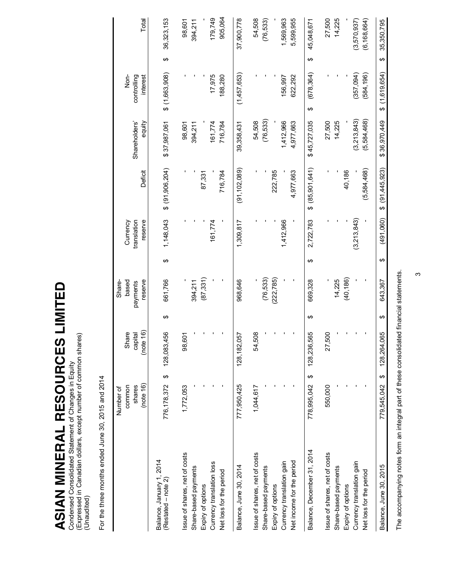ASIAN MINERAL RESOURCES LIMITED **ASIAN MINERAL RESOURCES LIMITED**

Condensed Consolidated Statement of Changes in Equity<br>(Expressed in Canadian dollars, except number of common shares)<br>(Unaudited) (Expressed in Canadian dollars, except number of common shares) Condensed Consolidated Statement of Changes in Equity (Unaudited)

For the three months ended June 30, 2015 and 2014 For the three months ended June 30, 2015 and 2014

|                                                       | (note 16)<br>common<br>shares<br>Number of | (note 16)<br>Share<br>capital |   | based<br>reserve<br>Share-<br>payments |   | reserve<br>Currency<br>translation | Deficit         | Shareholders'<br>equity | controlling<br>Nor-<br>interest | Total             |
|-------------------------------------------------------|--------------------------------------------|-------------------------------|---|----------------------------------------|---|------------------------------------|-----------------|-------------------------|---------------------------------|-------------------|
| Balance, January 1, 2014<br>(Restated – note 2)       | $\boldsymbol{\varphi}$<br>776, 178, 372    | 128,083,456                   | ക | 661,766                                | ↮ | 1,148,043                          | \$ (91,906,204) | \$37,987,061            | $$$ (1,663,908)                 | 36,323,153<br>↮   |
| Issue of shares, net of costs<br>Share-based payments | 1,772,053                                  | 98,601                        |   | 394,211                                |   |                                    |                 | 98,601<br>394,211       |                                 | 98,601<br>394,211 |
| Expiry of options                                     |                                            |                               |   | (87, 331)                              |   |                                    | 87,331          |                         |                                 |                   |
| Currency translation loss                             |                                            |                               |   |                                        |   | 161,774                            |                 | 161,774                 | 17,975                          | 179,749           |
| Net loss for the period                               |                                            |                               |   |                                        |   |                                    | 716,784         | 716,784                 | 188,280                         | 905,064           |
| Balance, June 30, 2014                                | 777,950,425                                | 128, 182, 057                 |   | 968,646                                |   | 1,309,817                          | (91, 102, 089)  | 39,358,431              | (1,457,653)                     | 37,900,778        |
| Issue of shares, net of costs                         | 1,044,617                                  | 54,508                        |   |                                        |   |                                    |                 | 54,508                  |                                 | 54,508            |
| Share-based payments                                  |                                            |                               |   | (76, 533)                              |   |                                    |                 | (76, 533)               |                                 | (76, 533)         |
| Expiry of options                                     |                                            |                               |   | (222, 785)                             |   |                                    | 222,785         |                         |                                 |                   |
| Currency translation gain                             |                                            |                               |   |                                        |   | 1,412,966                          |                 | 1,412,966               | 156,997                         | 1,569,963         |
| Net income for the period                             |                                            |                               |   |                                        |   |                                    | 4,977,663       | 4,977,663               | 622,292                         | 5,599,955         |
| Balance, December 31, 2014                            | ↔<br>778,995,042                           | 128,236,565                   | ↮ | 669,328                                | ↮ | 2,722,783                          | \$ (85,901,641) | \$45,727,035            | (678, 364)<br>ക                 | 45,048,671<br>↮   |
| Issue of shares, net of costs                         | 550,000                                    | 27,500                        |   |                                        |   |                                    |                 | 27,500                  |                                 | 27,500            |
| Share-based payments                                  |                                            |                               |   | 14,225                                 |   |                                    |                 | 14,225                  |                                 | 14,225            |
| Expiry of options                                     |                                            |                               |   | (40, 186)                              |   |                                    | 40,186          |                         |                                 |                   |
| Currency translation gain                             |                                            |                               |   |                                        |   | (3,213,843)                        |                 | (3,213,843)             | (357,094)                       | (3,570,937)       |
| Net loss for the period                               |                                            |                               |   |                                        |   |                                    | (5,584,468)     | (5,584,468)             | (584, 196)                      | (6, 168, 664)     |
| Balance, June 30, 2015                                | ↔<br>779,545,042                           | 128,264,065                   | ക | 643,367                                | ക | (491,060)                          | \$ (91,445,923) | \$36,970,449            | (1,619,654)<br>ക                | 35,350,795<br>↔   |
|                                                       |                                            |                               |   |                                        |   |                                    |                 |                         |                                 |                   |

The accompanying notes form an integral part of these consolidated financial statements. The accompanying notes form an integral part of these consolidated financial statements.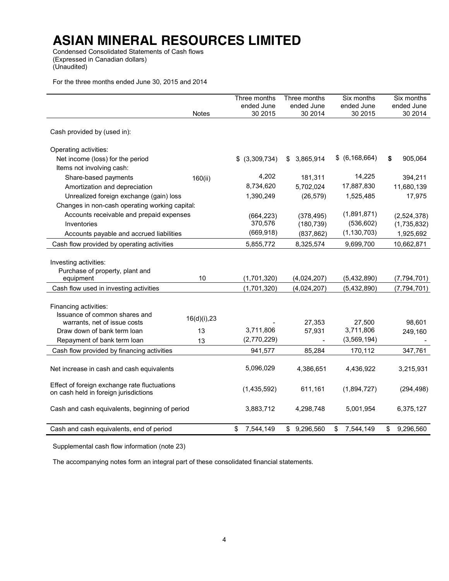Condensed Consolidated Statements of Cash flows (Expressed in Canadian dollars) (Unaudited)

For the three months ended June 30, 2015 and 2014

|                                                |                 | Three months    | Three months    | Six months       | Six months      |
|------------------------------------------------|-----------------|-----------------|-----------------|------------------|-----------------|
|                                                |                 | ended June      | ended June      | ended June       | ended June      |
|                                                | <b>Notes</b>    | 30 2015         | 30 2014         | 30 2015          | 30 2014         |
| Cash provided by (used in):                    |                 |                 |                 |                  |                 |
| Operating activities:                          |                 |                 |                 |                  |                 |
| Net income (loss) for the period               |                 | \$ (3,309,734)  | 3,865,914<br>\$ | \$ (6, 168, 664) | \$<br>905,064   |
| Items not involving cash:                      |                 |                 |                 |                  |                 |
| Share-based payments                           | 160(ii)         | 4,202           | 181,311         | 14,225           | 394,211         |
| Amortization and depreciation                  |                 | 8,734,620       | 5,702,024       | 17,887,830       | 11,680,139      |
| Unrealized foreign exchange (gain) loss        |                 | 1,390,249       | (26, 579)       | 1,525,485        | 17,975          |
| Changes in non-cash operating working capital: |                 |                 |                 |                  |                 |
| Accounts receivable and prepaid expenses       |                 | (664, 223)      | (378, 495)      | (1,891,871)      | (2,524,378)     |
| Inventories                                    |                 | 370,576         | (180, 739)      | (536, 602)       | (1,735,832)     |
| Accounts payable and accrued liabilities       |                 | (669, 918)      | (837, 862)      | (1, 130, 703)    | 1,925,692       |
| Cash flow provided by operating activities     |                 | 5,855,772       | 8,325,574       | 9,699,700        | 10,662,871      |
|                                                |                 |                 |                 |                  |                 |
| Investing activities:                          |                 |                 |                 |                  |                 |
| Purchase of property, plant and                |                 |                 |                 |                  |                 |
| equipment                                      | 10              | (1,701,320)     | (4,024,207)     | (5,432,890)      | (7, 794, 701)   |
| Cash flow used in investing activities         |                 | (1,701,320)     | (4,024,207)     | (5,432,890)      | (7, 794, 701)   |
|                                                |                 |                 |                 |                  |                 |
| Financing activities:                          |                 |                 |                 |                  |                 |
| Issuance of common shares and                  | $16(d)(i)$ , 23 |                 |                 |                  |                 |
| warrants, net of issue costs                   |                 |                 | 27,353          | 27,500           | 98,601          |
| Draw down of bank term loan                    | 13              | 3,711,806       | 57,931          | 3,711,806        | 249,160         |
| Repayment of bank term loan                    | 13              | (2,770,229)     |                 | (3,569,194)      |                 |
| Cash flow provided by financing activities     |                 | 941,577         | 85,284          | 170,112          | 347,761         |
|                                                |                 |                 |                 |                  |                 |
| Net increase in cash and cash equivalents      |                 | 5,096,029       | 4,386,651       | 4,436,922        | 3,215,931       |
| Effect of foreign exchange rate fluctuations   |                 |                 |                 |                  |                 |
| on cash held in foreign jurisdictions          |                 | (1,435,592)     | 611,161         | (1,894,727)      | (294, 498)      |
|                                                |                 |                 |                 |                  |                 |
| Cash and cash equivalents, beginning of period |                 | 3,883,712       | 4,298,748       | 5,001,954        | 6,375,127       |
|                                                |                 |                 |                 |                  |                 |
| Cash and cash equivalents, end of period       |                 | \$<br>7,544,149 | \$9,296,560     | 7,544,149<br>\$  | \$<br>9,296,560 |

Supplemental cash flow information (note 23)

The accompanying notes form an integral part of these consolidated financial statements.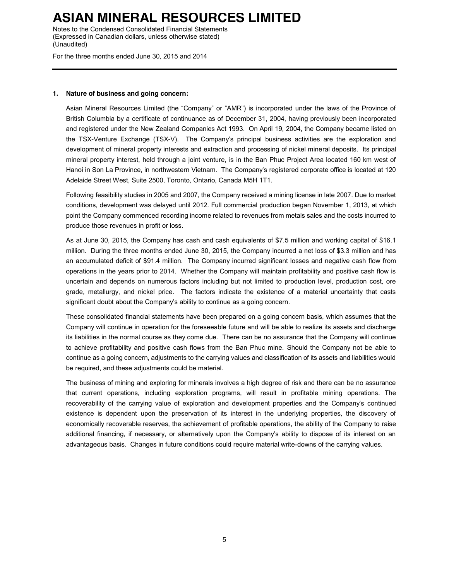Notes to the Condensed Consolidated Financial Statements (Expressed in Canadian dollars, unless otherwise stated) (Unaudited)

For the three months ended June 30, 2015 and 2014

#### **1. Nature of business and going concern:**

Asian Mineral Resources Limited (the "Company" or "AMR") is incorporated under the laws of the Province of British Columbia by a certificate of continuance as of December 31, 2004, having previously been incorporated and registered under the New Zealand Companies Act 1993. On April 19, 2004, the Company became listed on the TSX-Venture Exchange (TSX-V). The Company's principal business activities are the exploration and development of mineral property interests and extraction and processing of nickel mineral deposits. Its principal mineral property interest, held through a joint venture, is in the Ban Phuc Project Area located 160 km west of Hanoi in Son La Province, in northwestern Vietnam. The Company's registered corporate office is located at 120 Adelaide Street West, Suite 2500, Toronto, Ontario, Canada M5H 1T1.

Following feasibility studies in 2005 and 2007, the Company received a mining license in late 2007. Due to market conditions, development was delayed until 2012. Full commercial production began November 1, 2013, at which point the Company commenced recording income related to revenues from metals sales and the costs incurred to produce those revenues in profit or loss.

As at June 30, 2015, the Company has cash and cash equivalents of \$7.5 million and working capital of \$16.1 million. During the three months ended June 30, 2015, the Company incurred a net loss of \$3.3 million and has an accumulated deficit of \$91.4 million. The Company incurred significant losses and negative cash flow from operations in the years prior to 2014. Whether the Company will maintain profitability and positive cash flow is uncertain and depends on numerous factors including but not limited to production level, production cost, ore grade, metallurgy, and nickel price. The factors indicate the existence of a material uncertainty that casts significant doubt about the Company's ability to continue as a going concern.

These consolidated financial statements have been prepared on a going concern basis, which assumes that the Company will continue in operation for the foreseeable future and will be able to realize its assets and discharge its liabilities in the normal course as they come due. There can be no assurance that the Company will continue to achieve profitability and positive cash flows from the Ban Phuc mine. Should the Company not be able to continue as a going concern, adjustments to the carrying values and classification of its assets and liabilities would be required, and these adjustments could be material.

The business of mining and exploring for minerals involves a high degree of risk and there can be no assurance that current operations, including exploration programs, will result in profitable mining operations. The recoverability of the carrying value of exploration and development properties and the Company's continued existence is dependent upon the preservation of its interest in the underlying properties, the discovery of economically recoverable reserves, the achievement of profitable operations, the ability of the Company to raise additional financing, if necessary, or alternatively upon the Company's ability to dispose of its interest on an advantageous basis. Changes in future conditions could require material write-downs of the carrying values.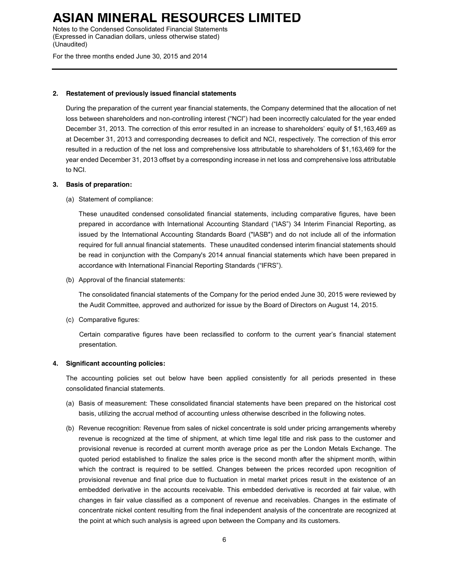Notes to the Condensed Consolidated Financial Statements (Expressed in Canadian dollars, unless otherwise stated) (Unaudited)

For the three months ended June 30, 2015 and 2014

#### **2. Restatement of previously issued financial statements**

During the preparation of the current year financial statements, the Company determined that the allocation of net loss between shareholders and non-controlling interest ("NCI") had been incorrectly calculated for the year ended December 31, 2013. The correction of this error resulted in an increase to shareholders' equity of \$1,163,469 as at December 31, 2013 and corresponding decreases to deficit and NCI, respectively. The correction of this error resulted in a reduction of the net loss and comprehensive loss attributable to shareholders of \$1,163,469 for the year ended December 31, 2013 offset by a corresponding increase in net loss and comprehensive loss attributable to NCI.

### **3. Basis of preparation:**

(a) Statement of compliance:

These unaudited condensed consolidated financial statements, including comparative figures, have been prepared in accordance with International Accounting Standard ("IAS") 34 Interim Financial Reporting, as issued by the International Accounting Standards Board ("IASB") and do not include all of the information required for full annual financial statements. These unaudited condensed interim financial statements should be read in conjunction with the Company's 2014 annual financial statements which have been prepared in accordance with International Financial Reporting Standards ("IFRS").

(b) Approval of the financial statements:

The consolidated financial statements of the Company for the period ended June 30, 2015 were reviewed by the Audit Committee, approved and authorized for issue by the Board of Directors on August 14, 2015.

(c) Comparative figures:

Certain comparative figures have been reclassified to conform to the current year's financial statement presentation.

#### **4. Significant accounting policies:**

The accounting policies set out below have been applied consistently for all periods presented in these consolidated financial statements.

- (a) Basis of measurement: These consolidated financial statements have been prepared on the historical cost basis, utilizing the accrual method of accounting unless otherwise described in the following notes.
- (b) Revenue recognition: Revenue from sales of nickel concentrate is sold under pricing arrangements whereby revenue is recognized at the time of shipment, at which time legal title and risk pass to the customer and provisional revenue is recorded at current month average price as per the London Metals Exchange. The quoted period established to finalize the sales price is the second month after the shipment month, within which the contract is required to be settled. Changes between the prices recorded upon recognition of provisional revenue and final price due to fluctuation in metal market prices result in the existence of an embedded derivative in the accounts receivable. This embedded derivative is recorded at fair value, with changes in fair value classified as a component of revenue and receivables. Changes in the estimate of concentrate nickel content resulting from the final independent analysis of the concentrate are recognized at the point at which such analysis is agreed upon between the Company and its customers.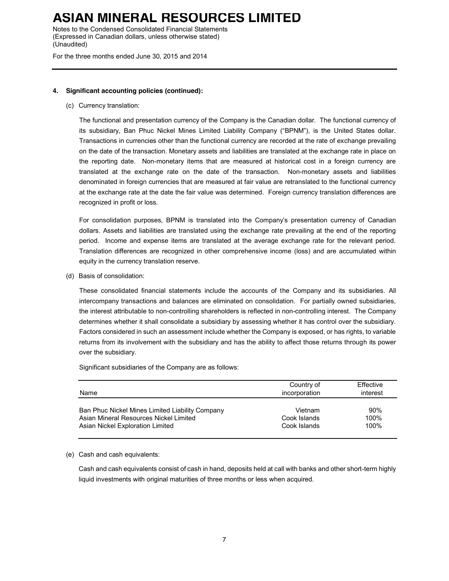Notes to the Condensed Consolidated Financial Statements (Expressed in Canadian dollars, unless otherwise stated) (Unaudited)

For the three months ended June 30, 2015 and 2014

#### **4. Significant accounting policies (continued):**

(c) Currency translation:

The functional and presentation currency of the Company is the Canadian dollar. The functional currency of its subsidiary, Ban Phuc Nickel Mines Limited Liability Company ("BPNM"), is the United States dollar. Transactions in currencies other than the functional currency are recorded at the rate of exchange prevailing on the date of the transaction. Monetary assets and liabilities are translated at the exchange rate in place on the reporting date. Non-monetary items that are measured at historical cost in a foreign currency are translated at the exchange rate on the date of the transaction. Non-monetary assets and liabilities denominated in foreign currencies that are measured at fair value are retranslated to the functional currency at the exchange rate at the date the fair value was determined. Foreign currency translation differences are recognized in profit or loss.

For consolidation purposes, BPNM is translated into the Company's presentation currency of Canadian dollars. Assets and liabilities are translated using the exchange rate prevailing at the end of the reporting period. Income and expense items are translated at the average exchange rate for the relevant period. Translation differences are recognized in other comprehensive income (loss) and are accumulated within equity in the currency translation reserve.

(d) Basis of consolidation:

These consolidated financial statements include the accounts of the Company and its subsidiaries. All intercompany transactions and balances are eliminated on consolidation. For partially owned subsidiaries, the interest attributable to non-controlling shareholders is reflected in non-controlling interest. The Company determines whether it shall consolidate a subsidiary by assessing whether it has control over the subsidiary. Factors considered in such an assessment include whether the Company is exposed, or has rights, to variable returns from its involvement with the subsidiary and has the ability to affect those returns through its power over the subsidiary.

Significant subsidiaries of the Company are as follows:

| Name                                            | Country of<br>incorporation | Effective<br>interest |
|-------------------------------------------------|-----------------------------|-----------------------|
| Ban Phuc Nickel Mines Limited Liability Company | Vietnam                     | 90%                   |
| Asian Mineral Resources Nickel Limited          | Cook Islands                | 100%                  |
| Asian Nickel Exploration Limited                | Cook Islands                | 100%                  |

#### (e) Cash and cash equivalents:

Cash and cash equivalents consist of cash in hand, deposits held at call with banks and other short-term highly liquid investments with original maturities of three months or less when acquired.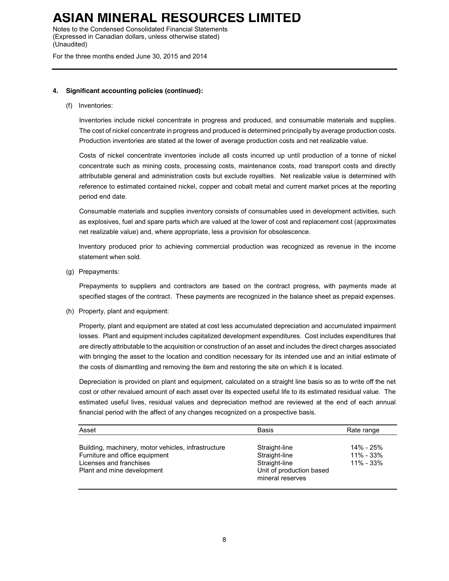Notes to the Condensed Consolidated Financial Statements (Expressed in Canadian dollars, unless otherwise stated) (Unaudited)

For the three months ended June 30, 2015 and 2014

### **4. Significant accounting policies (continued):**

(f) Inventories:

Inventories include nickel concentrate in progress and produced, and consumable materials and supplies. The cost of nickel concentrate in progress and produced is determined principally by average production costs. Production inventories are stated at the lower of average production costs and net realizable value.

Costs of nickel concentrate inventories include all costs incurred up until production of a tonne of nickel concentrate such as mining costs, processing costs, maintenance costs, road transport costs and directly attributable general and administration costs but exclude royalties. Net realizable value is determined with reference to estimated contained nickel, copper and cobalt metal and current market prices at the reporting period end date.

Consumable materials and supplies inventory consists of consumables used in development activities, such as explosives, fuel and spare parts which are valued at the lower of cost and replacement cost (approximates net realizable value) and, where appropriate, less a provision for obsolescence.

Inventory produced prior to achieving commercial production was recognized as revenue in the income statement when sold.

(g) Prepayments:

Prepayments to suppliers and contractors are based on the contract progress, with payments made at specified stages of the contract. These payments are recognized in the balance sheet as prepaid expenses.

(h) Property, plant and equipment:

Property, plant and equipment are stated at cost less accumulated depreciation and accumulated impairment losses. Plant and equipment includes capitalized development expenditures. Cost includes expenditures that are directly attributable to the acquisition or construction of an asset and includes the direct charges associated with bringing the asset to the location and condition necessary for its intended use and an initial estimate of the costs of dismantling and removing the item and restoring the site on which it is located.

Depreciation is provided on plant and equipment, calculated on a straight line basis so as to write off the net cost or other revalued amount of each asset over its expected useful life to its estimated residual value. The estimated useful lives, residual values and depreciation method are reviewed at the end of each annual financial period with the affect of any changes recognized on a prospective basis.

| Asset                                                                                                                                          | <b>Basis</b>                                                                                    | Rate range                                  |
|------------------------------------------------------------------------------------------------------------------------------------------------|-------------------------------------------------------------------------------------------------|---------------------------------------------|
| Building, machinery, motor vehicles, infrastructure<br>Furniture and office equipment<br>Licenses and franchises<br>Plant and mine development | Straight-line<br>Straight-line<br>Straight-line<br>Unit of production based<br>mineral reserves | 14% - 25%<br>$11\% - 33\%$<br>$11\% - 33\%$ |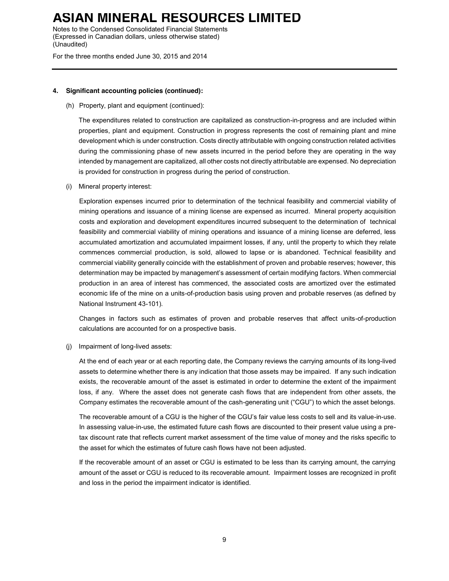Notes to the Condensed Consolidated Financial Statements (Expressed in Canadian dollars, unless otherwise stated) (Unaudited)

For the three months ended June 30, 2015 and 2014

#### **4. Significant accounting policies (continued):**

(h) Property, plant and equipment (continued):

The expenditures related to construction are capitalized as construction-in-progress and are included within properties, plant and equipment. Construction in progress represents the cost of remaining plant and mine development which is under construction. Costs directly attributable with ongoing construction related activities during the commissioning phase of new assets incurred in the period before they are operating in the way intended by management are capitalized, all other costs not directly attributable are expensed. No depreciation is provided for construction in progress during the period of construction.

(i) Mineral property interest:

Exploration expenses incurred prior to determination of the technical feasibility and commercial viability of mining operations and issuance of a mining license are expensed as incurred. Mineral property acquisition costs and exploration and development expenditures incurred subsequent to the determination of technical feasibility and commercial viability of mining operations and issuance of a mining license are deferred, less accumulated amortization and accumulated impairment losses, if any, until the property to which they relate commences commercial production, is sold, allowed to lapse or is abandoned. Technical feasibility and commercial viability generally coincide with the establishment of proven and probable reserves; however, this determination may be impacted by management's assessment of certain modifying factors. When commercial production in an area of interest has commenced, the associated costs are amortized over the estimated economic life of the mine on a units-of-production basis using proven and probable reserves (as defined by National Instrument 43-101).

Changes in factors such as estimates of proven and probable reserves that affect units-of-production calculations are accounted for on a prospective basis.

(j) Impairment of long-lived assets:

At the end of each year or at each reporting date, the Company reviews the carrying amounts of its long-lived assets to determine whether there is any indication that those assets may be impaired. If any such indication exists, the recoverable amount of the asset is estimated in order to determine the extent of the impairment loss, if any. Where the asset does not generate cash flows that are independent from other assets, the Company estimates the recoverable amount of the cash-generating unit ("CGU") to which the asset belongs.

The recoverable amount of a CGU is the higher of the CGU's fair value less costs to sell and its value-in-use. In assessing value-in-use, the estimated future cash flows are discounted to their present value using a pretax discount rate that reflects current market assessment of the time value of money and the risks specific to the asset for which the estimates of future cash flows have not been adjusted.

If the recoverable amount of an asset or CGU is estimated to be less than its carrying amount, the carrying amount of the asset or CGU is reduced to its recoverable amount. Impairment losses are recognized in profit and loss in the period the impairment indicator is identified.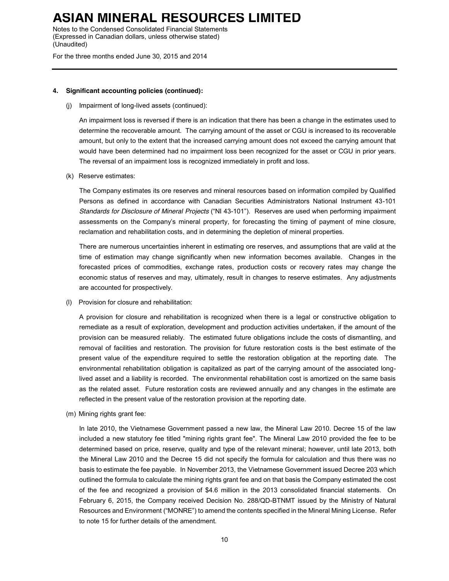Notes to the Condensed Consolidated Financial Statements (Expressed in Canadian dollars, unless otherwise stated) (Unaudited)

For the three months ended June 30, 2015 and 2014

#### **4. Significant accounting policies (continued):**

(j) Impairment of long-lived assets (continued):

An impairment loss is reversed if there is an indication that there has been a change in the estimates used to determine the recoverable amount. The carrying amount of the asset or CGU is increased to its recoverable amount, but only to the extent that the increased carrying amount does not exceed the carrying amount that would have been determined had no impairment loss been recognized for the asset or CGU in prior years. The reversal of an impairment loss is recognized immediately in profit and loss.

(k) Reserve estimates:

The Company estimates its ore reserves and mineral resources based on information compiled by Qualified Persons as defined in accordance with Canadian Securities Administrators National Instrument 43-101 *Standards for Disclosure of Mineral Projects* ("NI 43-101"). Reserves are used when performing impairment assessments on the Company's mineral property, for forecasting the timing of payment of mine closure, reclamation and rehabilitation costs, and in determining the depletion of mineral properties.

There are numerous uncertainties inherent in estimating ore reserves, and assumptions that are valid at the time of estimation may change significantly when new information becomes available. Changes in the forecasted prices of commodities, exchange rates, production costs or recovery rates may change the economic status of reserves and may, ultimately, result in changes to reserve estimates. Any adjustments are accounted for prospectively.

(l) Provision for closure and rehabilitation:

A provision for closure and rehabilitation is recognized when there is a legal or constructive obligation to remediate as a result of exploration, development and production activities undertaken, if the amount of the provision can be measured reliably. The estimated future obligations include the costs of dismantling, and removal of facilities and restoration. The provision for future restoration costs is the best estimate of the present value of the expenditure required to settle the restoration obligation at the reporting date. The environmental rehabilitation obligation is capitalized as part of the carrying amount of the associated longlived asset and a liability is recorded. The environmental rehabilitation cost is amortized on the same basis as the related asset. Future restoration costs are reviewed annually and any changes in the estimate are reflected in the present value of the restoration provision at the reporting date.

(m) Mining rights grant fee:

In late 2010, the Vietnamese Government passed a new law, the Mineral Law 2010. Decree 15 of the law included a new statutory fee titled "mining rights grant fee". The Mineral Law 2010 provided the fee to be determined based on price, reserve, quality and type of the relevant mineral; however, until late 2013, both the Mineral Law 2010 and the Decree 15 did not specify the formula for calculation and thus there was no basis to estimate the fee payable. In November 2013, the Vietnamese Government issued Decree 203 which outlined the formula to calculate the mining rights grant fee and on that basis the Company estimated the cost of the fee and recognized a provision of \$4.6 million in the 2013 consolidated financial statements. On February 6, 2015, the Company received Decision No. 288/QD-BTNMT issued by the Ministry of Natural Resources and Environment ("MONRE") to amend the contents specified in the Mineral Mining License. Refer to note 15 for further details of the amendment.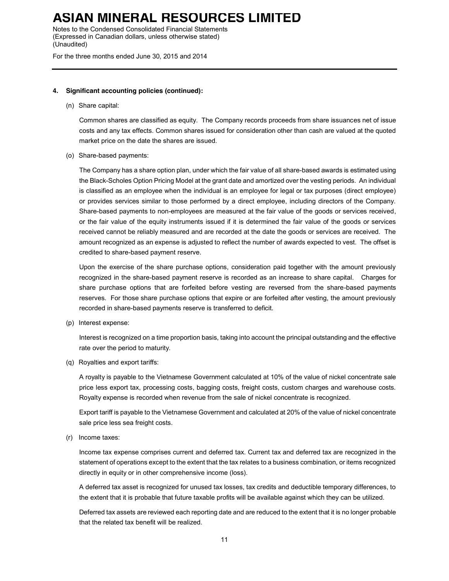Notes to the Condensed Consolidated Financial Statements (Expressed in Canadian dollars, unless otherwise stated) (Unaudited)

For the three months ended June 30, 2015 and 2014

#### **4. Significant accounting policies (continued):**

(n) Share capital:

Common shares are classified as equity. The Company records proceeds from share issuances net of issue costs and any tax effects. Common shares issued for consideration other than cash are valued at the quoted market price on the date the shares are issued.

(o) Share-based payments:

The Company has a share option plan, under which the fair value of all share-based awards is estimated using the Black-Scholes Option Pricing Model at the grant date and amortized over the vesting periods. An individual is classified as an employee when the individual is an employee for legal or tax purposes (direct employee) or provides services similar to those performed by a direct employee, including directors of the Company. Share-based payments to non-employees are measured at the fair value of the goods or services received, or the fair value of the equity instruments issued if it is determined the fair value of the goods or services received cannot be reliably measured and are recorded at the date the goods or services are received. The amount recognized as an expense is adjusted to reflect the number of awards expected to vest. The offset is credited to share-based payment reserve.

Upon the exercise of the share purchase options, consideration paid together with the amount previously recognized in the share-based payment reserve is recorded as an increase to share capital. Charges for share purchase options that are forfeited before vesting are reversed from the share-based payments reserves. For those share purchase options that expire or are forfeited after vesting, the amount previously recorded in share-based payments reserve is transferred to deficit.

(p) Interest expense:

Interest is recognized on a time proportion basis, taking into account the principal outstanding and the effective rate over the period to maturity.

(q) Royalties and export tariffs:

A royalty is payable to the Vietnamese Government calculated at 10% of the value of nickel concentrate sale price less export tax, processing costs, bagging costs, freight costs, custom charges and warehouse costs. Royalty expense is recorded when revenue from the sale of nickel concentrate is recognized.

Export tariff is payable to the Vietnamese Government and calculated at 20% of the value of nickel concentrate sale price less sea freight costs.

(r) Income taxes:

Income tax expense comprises current and deferred tax. Current tax and deferred tax are recognized in the statement of operations except to the extent that the tax relates to a business combination, or items recognized directly in equity or in other comprehensive income (loss).

A deferred tax asset is recognized for unused tax losses, tax credits and deductible temporary differences, to the extent that it is probable that future taxable profits will be available against which they can be utilized.

Deferred tax assets are reviewed each reporting date and are reduced to the extent that it is no longer probable that the related tax benefit will be realized.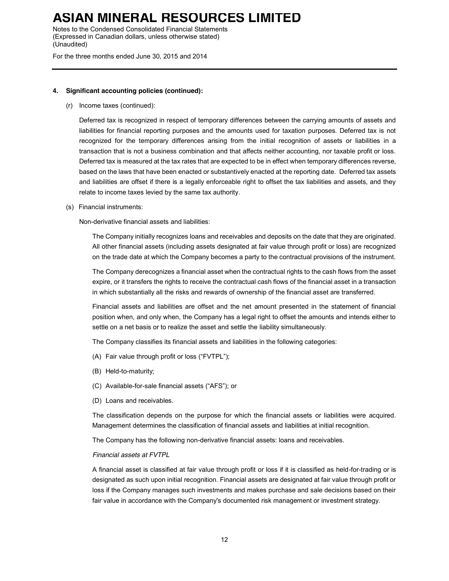Notes to the Condensed Consolidated Financial Statements (Expressed in Canadian dollars, unless otherwise stated) (Unaudited)

For the three months ended June 30, 2015 and 2014

#### **4. Significant accounting policies (continued):**

(r) Income taxes (continued):

Deferred tax is recognized in respect of temporary differences between the carrying amounts of assets and liabilities for financial reporting purposes and the amounts used for taxation purposes. Deferred tax is not recognized for the temporary differences arising from the initial recognition of assets or liabilities in a transaction that is not a business combination and that affects neither accounting, nor taxable profit or loss. Deferred tax is measured at the tax rates that are expected to be in effect when temporary differences reverse, based on the laws that have been enacted or substantively enacted at the reporting date. Deferred tax assets and liabilities are offset if there is a legally enforceable right to offset the tax liabilities and assets, and they relate to income taxes levied by the same tax authority.

(s) Financial instruments:

Non-derivative financial assets and liabilities:

The Company initially recognizes loans and receivables and deposits on the date that they are originated. All other financial assets (including assets designated at fair value through profit or loss) are recognized on the trade date at which the Company becomes a party to the contractual provisions of the instrument.

The Company derecognizes a financial asset when the contractual rights to the cash flows from the asset expire, or it transfers the rights to receive the contractual cash flows of the financial asset in a transaction in which substantially all the risks and rewards of ownership of the financial asset are transferred.

Financial assets and liabilities are offset and the net amount presented in the statement of financial position when, and only when, the Company has a legal right to offset the amounts and intends either to settle on a net basis or to realize the asset and settle the liability simultaneously.

The Company classifies its financial assets and liabilities in the following categories:

- (A) Fair value through profit or loss ("FVTPL");
- (B) Held-to-maturity;
- (C) Available-for-sale financial assets ("AFS"); or
- (D) Loans and receivables.

The classification depends on the purpose for which the financial assets or liabilities were acquired. Management determines the classification of financial assets and liabilities at initial recognition.

The Company has the following non-derivative financial assets: loans and receivables.

#### *Financial assets at FVTPL*

A financial asset is classified at fair value through profit or loss if it is classified as held-for-trading or is designated as such upon initial recognition. Financial assets are designated at fair value through profit or loss if the Company manages such investments and makes purchase and sale decisions based on their fair value in accordance with the Company's documented risk management or investment strategy.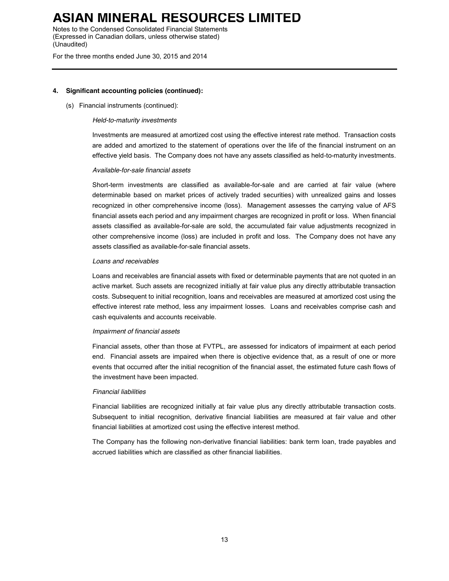Notes to the Condensed Consolidated Financial Statements (Expressed in Canadian dollars, unless otherwise stated) (Unaudited)

For the three months ended June 30, 2015 and 2014

#### **4. Significant accounting policies (continued):**

#### (s) Financial instruments (continued):

#### *Held-to-maturity investments*

Investments are measured at amortized cost using the effective interest rate method. Transaction costs are added and amortized to the statement of operations over the life of the financial instrument on an effective yield basis. The Company does not have any assets classified as held-to-maturity investments.

#### *Available-for-sale financial assets*

Short-term investments are classified as available-for-sale and are carried at fair value (where determinable based on market prices of actively traded securities) with unrealized gains and losses recognized in other comprehensive income (loss). Management assesses the carrying value of AFS financial assets each period and any impairment charges are recognized in profit or loss. When financial assets classified as available-for-sale are sold, the accumulated fair value adjustments recognized in other comprehensive income (loss) are included in profit and loss. The Company does not have any assets classified as available-for-sale financial assets.

#### *Loans and receivables*

Loans and receivables are financial assets with fixed or determinable payments that are not quoted in an active market. Such assets are recognized initially at fair value plus any directly attributable transaction costs. Subsequent to initial recognition, loans and receivables are measured at amortized cost using the effective interest rate method, less any impairment losses. Loans and receivables comprise cash and cash equivalents and accounts receivable.

#### *Impairment of financial assets*

Financial assets, other than those at FVTPL, are assessed for indicators of impairment at each period end. Financial assets are impaired when there is objective evidence that, as a result of one or more events that occurred after the initial recognition of the financial asset, the estimated future cash flows of the investment have been impacted.

#### *Financial liabilities*

Financial liabilities are recognized initially at fair value plus any directly attributable transaction costs. Subsequent to initial recognition, derivative financial liabilities are measured at fair value and other financial liabilities at amortized cost using the effective interest method.

The Company has the following non-derivative financial liabilities: bank term loan, trade payables and accrued liabilities which are classified as other financial liabilities.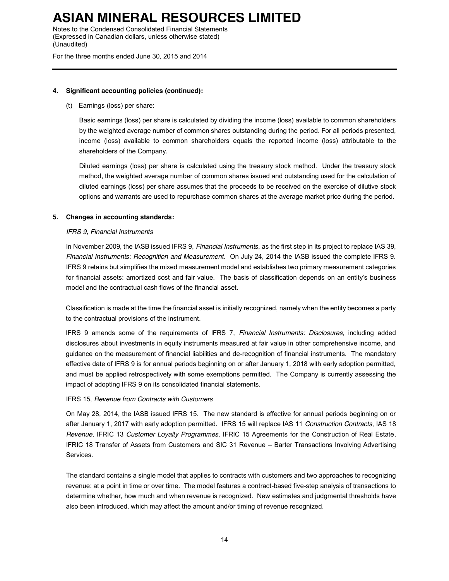Notes to the Condensed Consolidated Financial Statements (Expressed in Canadian dollars, unless otherwise stated) (Unaudited)

For the three months ended June 30, 2015 and 2014

### **4. Significant accounting policies (continued):**

(t) Earnings (loss) per share:

Basic earnings (loss) per share is calculated by dividing the income (loss) available to common shareholders by the weighted average number of common shares outstanding during the period. For all periods presented, income (loss) available to common shareholders equals the reported income (loss) attributable to the shareholders of the Company.

Diluted earnings (loss) per share is calculated using the treasury stock method. Under the treasury stock method, the weighted average number of common shares issued and outstanding used for the calculation of diluted earnings (loss) per share assumes that the proceeds to be received on the exercise of dilutive stock options and warrants are used to repurchase common shares at the average market price during the period.

### **5. Changes in accounting standards:**

### *IFRS 9, Financial Instruments*

In November 2009, the IASB issued IFRS 9, *Financial Instruments*, as the first step in its project to replace IAS 39, *Financial Instruments: Recognition and Measurement*. On July 24, 2014 the IASB issued the complete IFRS 9. IFRS 9 retains but simplifies the mixed measurement model and establishes two primary measurement categories for financial assets: amortized cost and fair value. The basis of classification depends on an entity's business model and the contractual cash flows of the financial asset.

Classification is made at the time the financial asset is initially recognized, namely when the entity becomes a party to the contractual provisions of the instrument.

IFRS 9 amends some of the requirements of IFRS 7, *Financial Instruments: Disclosures*, including added disclosures about investments in equity instruments measured at fair value in other comprehensive income, and guidance on the measurement of financial liabilities and de-recognition of financial instruments. The mandatory effective date of IFRS 9 is for annual periods beginning on or after January 1, 2018 with early adoption permitted, and must be applied retrospectively with some exemptions permitted. The Company is currently assessing the impact of adopting IFRS 9 on its consolidated financial statements.

#### IFRS 15, *Revenue from Contracts with Customers*

On May 28, 2014, the IASB issued IFRS 15. The new standard is effective for annual periods beginning on or after January 1, 2017 with early adoption permitted. IFRS 15 will replace IAS 11 *Construction Contracts*, IAS 18 *Revenue*, IFRIC 13 *Customer Loyalty Programmes*, IFRIC 15 Agreements for the Construction of Real Estate, IFRIC 18 Transfer of Assets from Customers and SIC 31 Revenue – Barter Transactions Involving Advertising Services.

The standard contains a single model that applies to contracts with customers and two approaches to recognizing revenue: at a point in time or over time. The model features a contract-based five-step analysis of transactions to determine whether, how much and when revenue is recognized. New estimates and judgmental thresholds have also been introduced, which may affect the amount and/or timing of revenue recognized.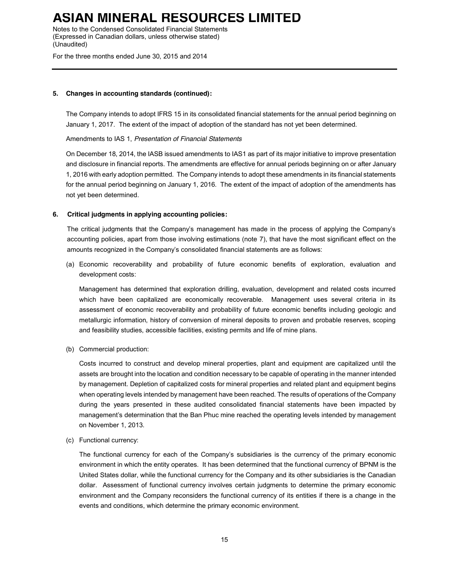Notes to the Condensed Consolidated Financial Statements (Expressed in Canadian dollars, unless otherwise stated) (Unaudited)

For the three months ended June 30, 2015 and 2014

### **5. Changes in accounting standards (continued):**

The Company intends to adopt IFRS 15 in its consolidated financial statements for the annual period beginning on January 1, 2017. The extent of the impact of adoption of the standard has not yet been determined.

Amendments to IAS 1, *Presentation of Financial Statements*

On December 18, 2014, the IASB issued amendments to IAS1 as part of its major initiative to improve presentation and disclosure in financial reports. The amendments are effective for annual periods beginning on or after January 1, 2016 with early adoption permitted. The Company intends to adopt these amendments in its financial statements for the annual period beginning on January 1, 2016. The extent of the impact of adoption of the amendments has not yet been determined.

### **6. Critical judgments in applying accounting policies:**

The critical judgments that the Company's management has made in the process of applying the Company's accounting policies, apart from those involving estimations (note 7), that have the most significant effect on the amounts recognized in the Company's consolidated financial statements are as follows:

(a) Economic recoverability and probability of future economic benefits of exploration, evaluation and development costs:

Management has determined that exploration drilling, evaluation, development and related costs incurred which have been capitalized are economically recoverable. Management uses several criteria in its assessment of economic recoverability and probability of future economic benefits including geologic and metallurgic information, history of conversion of mineral deposits to proven and probable reserves, scoping and feasibility studies, accessible facilities, existing permits and life of mine plans.

(b) Commercial production:

Costs incurred to construct and develop mineral properties, plant and equipment are capitalized until the assets are brought into the location and condition necessary to be capable of operating in the manner intended by management. Depletion of capitalized costs for mineral properties and related plant and equipment begins when operating levels intended by management have been reached. The results of operations of the Company during the years presented in these audited consolidated financial statements have been impacted by management's determination that the Ban Phuc mine reached the operating levels intended by management on November 1, 2013.

(c) Functional currency:

The functional currency for each of the Company's subsidiaries is the currency of the primary economic environment in which the entity operates. It has been determined that the functional currency of BPNM is the United States dollar, while the functional currency for the Company and its other subsidiaries is the Canadian dollar. Assessment of functional currency involves certain judgments to determine the primary economic environment and the Company reconsiders the functional currency of its entities if there is a change in the events and conditions, which determine the primary economic environment.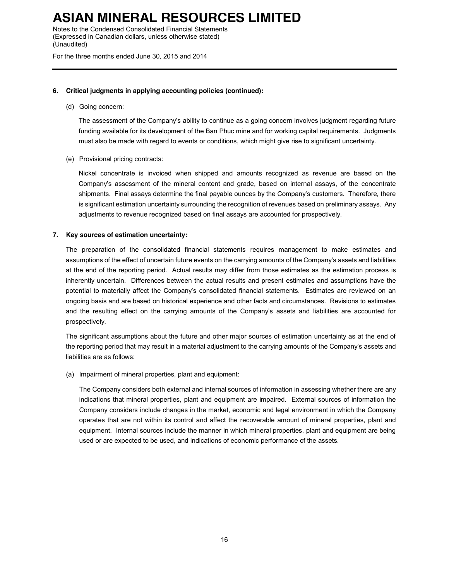Notes to the Condensed Consolidated Financial Statements (Expressed in Canadian dollars, unless otherwise stated) (Unaudited)

For the three months ended June 30, 2015 and 2014

### **6. Critical judgments in applying accounting policies (continued):**

(d) Going concern:

The assessment of the Company's ability to continue as a going concern involves judgment regarding future funding available for its development of the Ban Phuc mine and for working capital requirements. Judgments must also be made with regard to events or conditions, which might give rise to significant uncertainty.

(e) Provisional pricing contracts:

Nickel concentrate is invoiced when shipped and amounts recognized as revenue are based on the Company's assessment of the mineral content and grade, based on internal assays, of the concentrate shipments. Final assays determine the final payable ounces by the Company's customers. Therefore, there is significant estimation uncertainty surrounding the recognition of revenues based on preliminary assays. Any adjustments to revenue recognized based on final assays are accounted for prospectively.

#### **7. Key sources of estimation uncertainty:**

The preparation of the consolidated financial statements requires management to make estimates and assumptions of the effect of uncertain future events on the carrying amounts of the Company's assets and liabilities at the end of the reporting period. Actual results may differ from those estimates as the estimation process is inherently uncertain. Differences between the actual results and present estimates and assumptions have the potential to materially affect the Company's consolidated financial statements. Estimates are reviewed on an ongoing basis and are based on historical experience and other facts and circumstances. Revisions to estimates and the resulting effect on the carrying amounts of the Company's assets and liabilities are accounted for prospectively.

The significant assumptions about the future and other major sources of estimation uncertainty as at the end of the reporting period that may result in a material adjustment to the carrying amounts of the Company's assets and liabilities are as follows:

(a) Impairment of mineral properties, plant and equipment:

The Company considers both external and internal sources of information in assessing whether there are any indications that mineral properties, plant and equipment are impaired. External sources of information the Company considers include changes in the market, economic and legal environment in which the Company operates that are not within its control and affect the recoverable amount of mineral properties, plant and equipment. Internal sources include the manner in which mineral properties, plant and equipment are being used or are expected to be used, and indications of economic performance of the assets.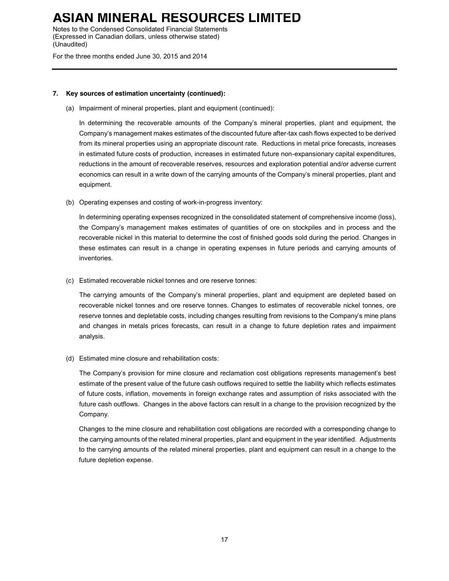Notes to the Condensed Consolidated Financial Statements (Expressed in Canadian dollars, unless otherwise stated) (Unaudited)

For the three months ended June 30, 2015 and 2014

### **7. Key sources of estimation uncertainty (continued):**

(a) Impairment of mineral properties, plant and equipment (continued):

In determining the recoverable amounts of the Company's mineral properties, plant and equipment, the Company's management makes estimates of the discounted future after-tax cash flows expected to be derived from its mineral properties using an appropriate discount rate. Reductions in metal price forecasts, increases in estimated future costs of production, increases in estimated future non-expansionary capital expenditures, reductions in the amount of recoverable reserves, resources and exploration potential and/or adverse current economics can result in a write down of the carrying amounts of the Company's mineral properties, plant and equipment.

(b) Operating expenses and costing of work-in-progress inventory:

In determining operating expenses recognized in the consolidated statement of comprehensive income (loss), the Company's management makes estimates of quantities of ore on stockpiles and in process and the recoverable nickel in this material to determine the cost of finished goods sold during the period. Changes in these estimates can result in a change in operating expenses in future periods and carrying amounts of inventories.

(c) Estimated recoverable nickel tonnes and ore reserve tonnes:

The carrying amounts of the Company's mineral properties, plant and equipment are depleted based on recoverable nickel tonnes and ore reserve tonnes. Changes to estimates of recoverable nickel tonnes, ore reserve tonnes and depletable costs, including changes resulting from revisions to the Company's mine plans and changes in metals prices forecasts, can result in a change to future depletion rates and impairment analysis.

(d) Estimated mine closure and rehabilitation costs:

The Company's provision for mine closure and reclamation cost obligations represents management's best estimate of the present value of the future cash outflows required to settle the liability which reflects estimates of future costs, inflation, movements in foreign exchange rates and assumption of risks associated with the future cash outflows. Changes in the above factors can result in a change to the provision recognized by the Company.

Changes to the mine closure and rehabilitation cost obligations are recorded with a corresponding change to the carrying amounts of the related mineral properties, plant and equipment in the year identified. Adjustments to the carrying amounts of the related mineral properties, plant and equipment can result in a change to the future depletion expense.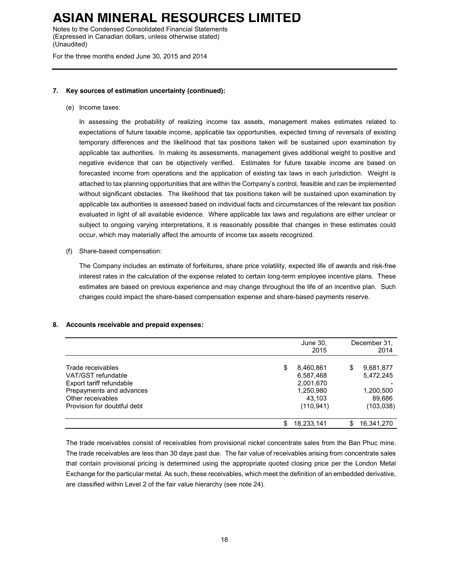Notes to the Condensed Consolidated Financial Statements (Expressed in Canadian dollars, unless otherwise stated) (Unaudited)

For the three months ended June 30, 2015 and 2014

### **7. Key sources of estimation uncertainty (continued):**

(e) Income taxes:

In assessing the probability of realizing income tax assets, management makes estimates related to expectations of future taxable income, applicable tax opportunities, expected timing of reversals of existing temporary differences and the likelihood that tax positions taken will be sustained upon examination by applicable tax authorities. In making its assessments, management gives additional weight to positive and negative evidence that can be objectively verified. Estimates for future taxable income are based on forecasted income from operations and the application of existing tax laws in each jurisdiction. Weight is attached to tax planning opportunities that are within the Company's control, feasible and can be implemented without significant obstacles. The likelihood that tax positions taken will be sustained upon examination by applicable tax authorities is assessed based on individual facts and circumstances of the relevant tax position evaluated in light of all available evidence. Where applicable tax laws and regulations are either unclear or subject to ongoing varying interpretations, it is reasonably possible that changes in these estimates could occur, which may materially affect the amounts of income tax assets recognized.

(f) Share-based compensation:

The Company includes an estimate of forfeitures, share price volatility, expected life of awards and risk-free interest rates in the calculation of the expense related to certain long-term employee incentive plans. These estimates are based on previous experience and may change throughout the life of an incentive plan. Such changes could impact the share-based compensation expense and share-based payments reserve.

### **8. Accounts receivable and prepaid expenses:**

|                                                                                                                                                     |   | June 30,<br>2015                                                         |    | December 31,<br>2014                                        |
|-----------------------------------------------------------------------------------------------------------------------------------------------------|---|--------------------------------------------------------------------------|----|-------------------------------------------------------------|
| Trade receivables<br>VAT/GST refundable<br>Export tariff refundable<br>Prepayments and advances<br>Other receivables<br>Provision for doubtful debt | S | 8,460,861<br>6,587,468<br>2,001,670<br>1,250,980<br>43.103<br>(110, 941) | S  | 9,681,877<br>5,472,245<br>1,200,500<br>89,686<br>(103, 038) |
|                                                                                                                                                     | S | 18,233,141                                                               | \$ | 16,341,270                                                  |

The trade receivables consist of receivables from provisional nickel concentrate sales from the Ban Phuc mine. The trade receivables are less than 30 days past due. The fair value of receivables arising from concentrate sales that contain provisional pricing is determined using the appropriate quoted closing price per the London Metal Exchange for the particular metal. As such, these receivables, which meet the definition of an embedded derivative, are classified within Level 2 of the fair value hierarchy (see note 24).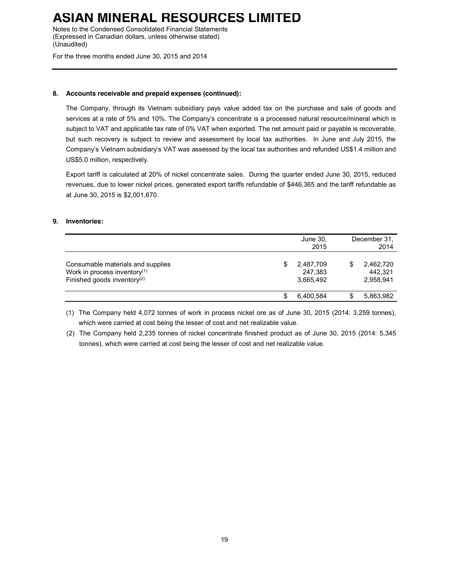Notes to the Condensed Consolidated Financial Statements (Expressed in Canadian dollars, unless otherwise stated) (Unaudited)

For the three months ended June 30, 2015 and 2014

### **8. Accounts receivable and prepaid expenses (continued):**

The Company, through its Vietnam subsidiary pays value added tax on the purchase and sale of goods and services at a rate of 5% and 10%. The Company's concentrate is a processed natural resource/mineral which is subject to VAT and applicable tax rate of 0% VAT when exported. The net amount paid or payable is recoverable, but such recovery is subject to review and assessment by local tax authorities. In June and July 2015, the Company's Vietnam subsidiary's VAT was assessed by the local tax authorities and refunded US\$1.4 million and US\$5.0 million, respectively.

Export tariff is calculated at 20% of nickel concentrate sales. During the quarter ended June 30, 2015, reduced revenues, due to lower nickel prices, generated export tariffs refundable of \$446,365 and the tariff refundable as at June 30, 2015 is \$2,001,670.

### **9. Inventories:**

|                                                                                                                          | June 30,<br>2015                  | December 31.<br>2014              |
|--------------------------------------------------------------------------------------------------------------------------|-----------------------------------|-----------------------------------|
| Consumable materials and supplies<br>Work in process inventory <sup>(1)</sup><br>Finished goods inventory <sup>(2)</sup> | 2,487,709<br>247,383<br>3.665.492 | 2,462,720<br>442.321<br>2,958,941 |
|                                                                                                                          | 6.400.584                         | 5,863,982                         |

(1) The Company held 4,072 tonnes of work in process nickel ore as of June 30, 2015 (2014: 3,259 tonnes), which were carried at cost being the lesser of cost and net realizable value.

(2) The Company held 2,235 tonnes of nickel concentrate finished product as of June 30, 2015 (2014: 5,345 tonnes), which were carried at cost being the lesser of cost and net realizable value.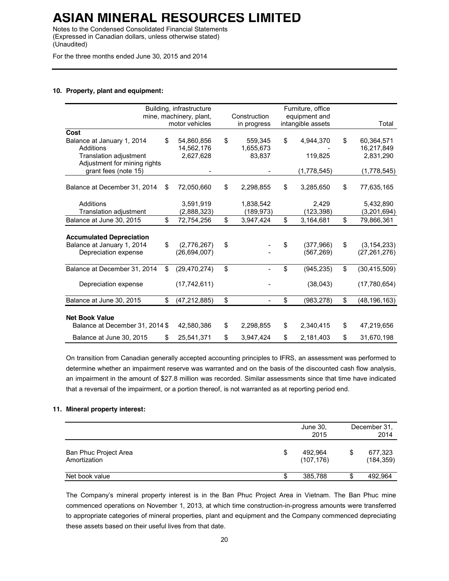Notes to the Condensed Consolidated Financial Statements (Expressed in Canadian dollars, unless otherwise stated) (Unaudited)

For the three months ended June 30, 2015 and 2014

#### **10. Property, plant and equipment:**

|                                 | Building, infrastructure<br>mine, machinery, plant, | Construction    | Furniture, office<br>equipment and |                      |
|---------------------------------|-----------------------------------------------------|-----------------|------------------------------------|----------------------|
|                                 | motor vehicles                                      | in progress     | intangible assets                  | Total                |
| Cost                            |                                                     |                 |                                    |                      |
| Balance at January 1, 2014      | \$<br>54,860,856                                    | \$<br>559,345   | \$<br>4,944,370                    | \$<br>60,364,571     |
| Additions                       | 14,562,176                                          | 1,655,673       |                                    | 16,217,849           |
| <b>Translation adjustment</b>   | 2,627,628                                           | 83,837          | 119,825                            | 2,831,290            |
| Adjustment for mining rights    |                                                     |                 |                                    |                      |
| grant fees (note 15)            |                                                     |                 | (1,778,545)                        | (1,778,545)          |
|                                 |                                                     |                 |                                    |                      |
| Balance at December 31, 2014    | \$<br>72,050,660                                    | \$<br>2,298,855 | \$<br>3,285,650                    | \$<br>77,635,165     |
|                                 |                                                     |                 |                                    |                      |
| Additions                       | 3,591,919                                           | 1,838,542       | 2,429                              | 5,432,890            |
| <b>Translation adjustment</b>   | (2,888,323)                                         | (189,973)       | (123, 398)                         | (3,201,694)          |
| Balance at June 30, 2015        | \$<br>72,754,256                                    | \$<br>3,947,424 | \$<br>3,164,681                    | \$<br>79,866,361     |
|                                 |                                                     |                 |                                    |                      |
| <b>Accumulated Depreciation</b> |                                                     |                 |                                    |                      |
| Balance at January 1, 2014      | \$<br>(2,776,267)                                   | \$              | \$<br>(377,966)                    | \$<br>(3, 154, 233)  |
| Depreciation expense            | (26, 694, 007)                                      |                 | (567, 269)                         | (27, 261, 276)       |
|                                 |                                                     |                 |                                    |                      |
| Balance at December 31, 2014    | \$<br>(29, 470, 274)                                | \$              | \$<br>(945, 235)                   | \$<br>(30, 415, 509) |
|                                 |                                                     |                 |                                    |                      |
| Depreciation expense            | (17, 742, 611)                                      |                 | (38,043)                           | (17,780,654)         |
|                                 |                                                     |                 |                                    |                      |
| Balance at June 30, 2015        | \$<br>(47, 212, 885)                                | \$              | \$<br>(983, 278)                   | \$<br>(48, 196, 163) |
|                                 |                                                     |                 |                                    |                      |
| <b>Net Book Value</b>           |                                                     |                 |                                    |                      |
| Balance at December 31, 2014 \$ | 42,580,386                                          | \$<br>2,298,855 | \$<br>2,340,415                    | \$<br>47,219,656     |
|                                 |                                                     |                 |                                    |                      |
| Balance at June 30, 2015        | \$<br>25,541,371                                    | \$<br>3,947,424 | \$<br>2,181,403                    | \$<br>31,670,198     |

On transition from Canadian generally accepted accounting principles to IFRS, an assessment was performed to determine whether an impairment reserve was warranted and on the basis of the discounted cash flow analysis, an impairment in the amount of \$27.8 million was recorded. Similar assessments since that time have indicated that a reversal of the impairment, or a portion thereof, is not warranted as at reporting period end.

### **11. Mineral property interest:**

|                                       | June 30,<br>2015            | December 31.<br>2014  |
|---------------------------------------|-----------------------------|-----------------------|
| Ban Phuc Project Area<br>Amortization | \$<br>492,964<br>(107, 176) | 677,323<br>(184, 359) |
| Net book value                        | 385,788                     | 492.964               |

The Company's mineral property interest is in the Ban Phuc Project Area in Vietnam. The Ban Phuc mine commenced operations on November 1, 2013, at which time construction-in-progress amounts were transferred to appropriate categories of mineral properties, plant and equipment and the Company commenced depreciating these assets based on their useful lives from that date.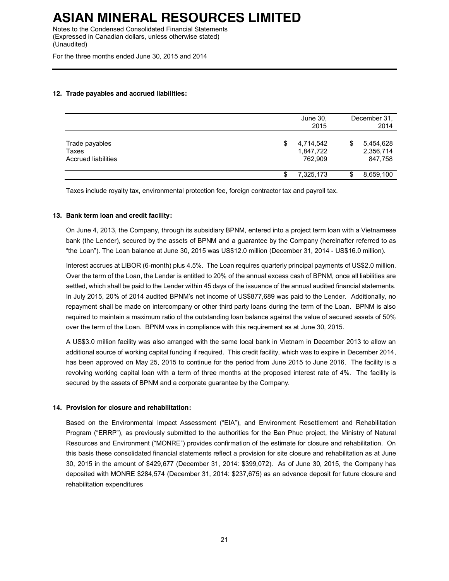Notes to the Condensed Consolidated Financial Statements (Expressed in Canadian dollars, unless otherwise stated) (Unaudited)

For the three months ended June 30, 2015 and 2014

### **12. Trade payables and accrued liabilities:**

|                                                       | June 30,<br>2015                  |    | December 31.<br>2014              |
|-------------------------------------------------------|-----------------------------------|----|-----------------------------------|
| Trade payables<br>Taxes<br><b>Accrued liabilities</b> | 4,714,542<br>1,847,722<br>762,909 | \$ | 5,454,628<br>2,356,714<br>847,758 |
|                                                       | 7,325,173                         | S  | 8,659,100                         |

Taxes include royalty tax, environmental protection fee, foreign contractor tax and payroll tax.

### **13. Bank term loan and credit facility:**

On June 4, 2013, the Company, through its subsidiary BPNM, entered into a project term loan with a Vietnamese bank (the Lender), secured by the assets of BPNM and a guarantee by the Company (hereinafter referred to as "the Loan"). The Loan balance at June 30, 2015 was US\$12.0 million (December 31, 2014 - US\$16.0 million).

Interest accrues at LIBOR (6-month) plus 4.5%. The Loan requires quarterly principal payments of US\$2.0 million. Over the term of the Loan, the Lender is entitled to 20% of the annual excess cash of BPNM, once all liabilities are settled, which shall be paid to the Lender within 45 days of the issuance of the annual audited financial statements. In July 2015, 20% of 2014 audited BPNM's net income of US\$877,689 was paid to the Lender. Additionally, no repayment shall be made on intercompany or other third party loans during the term of the Loan. BPNM is also required to maintain a maximum ratio of the outstanding loan balance against the value of secured assets of 50% over the term of the Loan. BPNM was in compliance with this requirement as at June 30, 2015.

A US\$3.0 million facility was also arranged with the same local bank in Vietnam in December 2013 to allow an additional source of working capital funding if required. This credit facility, which was to expire in December 2014, has been approved on May 25, 2015 to continue for the period from June 2015 to June 2016. The facility is a revolving working capital loan with a term of three months at the proposed interest rate of 4%. The facility is secured by the assets of BPNM and a corporate guarantee by the Company.

### **14. Provision for closure and rehabilitation:**

Based on the Environmental Impact Assessment ("EIA"), and Environment Resettlement and Rehabilitation Program ("ERRP"), as previously submitted to the authorities for the Ban Phuc project, the Ministry of Natural Resources and Environment ("MONRE") provides confirmation of the estimate for closure and rehabilitation. On this basis these consolidated financial statements reflect a provision for site closure and rehabilitation as at June 30, 2015 in the amount of \$429,677 (December 31, 2014: \$399,072). As of June 30, 2015, the Company has deposited with MONRE \$284,574 (December 31, 2014: \$237,675) as an advance deposit for future closure and rehabilitation expenditures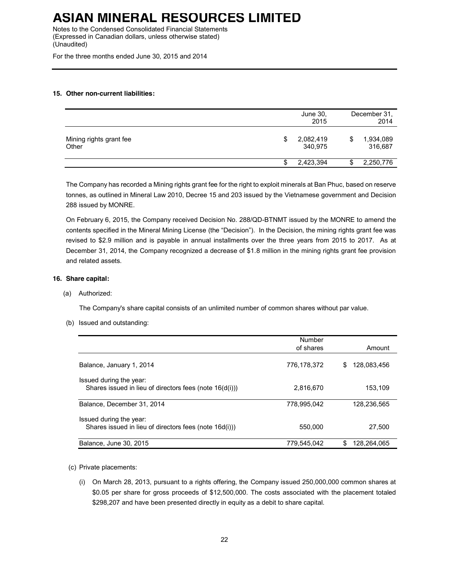Notes to the Condensed Consolidated Financial Statements (Expressed in Canadian dollars, unless otherwise stated) (Unaudited)

For the three months ended June 30, 2015 and 2014

### **15. Other non-current liabilities:**

|                                  | June 30,<br>2015           | December 31,<br>2014       |
|----------------------------------|----------------------------|----------------------------|
| Mining rights grant fee<br>Other | \$<br>2,082,419<br>340,975 | \$<br>1,934,089<br>316,687 |
|                                  | 2,423,394                  | 2,250,776                  |

The Company has recorded a Mining rights grant fee for the right to exploit minerals at Ban Phuc, based on reserve tonnes, as outlined in Mineral Law 2010, Decree 15 and 203 issued by the Vietnamese government and Decision 288 issued by MONRE.

On February 6, 2015, the Company received Decision No. 288/QD-BTNMT issued by the MONRE to amend the contents specified in the Mineral Mining License (the "Decision"). In the Decision, the mining rights grant fee was revised to \$2.9 million and is payable in annual installments over the three years from 2015 to 2017. As at December 31, 2014, the Company recognized a decrease of \$1.8 million in the mining rights grant fee provision and related assets.

### **16. Share capital:**

(a) Authorized:

The Company's share capital consists of an unlimited number of common shares without par value.

(b) Issued and outstanding:

|                                                                                    | Number      |                  |
|------------------------------------------------------------------------------------|-------------|------------------|
|                                                                                    | of shares   | Amount           |
| Balance, January 1, 2014                                                           | 776,178,372 | 128,083,456<br>S |
| Issued during the year:<br>Shares issued in lieu of directors fees (note 16(d(i))) | 2,816,670   | 153,109          |
| Balance. December 31, 2014                                                         | 778.995.042 | 128.236.565      |
| Issued during the year:<br>Shares issued in lieu of directors fees (note 16d(i)))  | 550,000     | 27.500           |
| Balance, June 30, 2015                                                             | 779,545,042 | 128.264.065<br>S |

- (c) Private placements:
	- (i) On March 28, 2013, pursuant to a rights offering, the Company issued 250,000,000 common shares at \$0.05 per share for gross proceeds of \$12,500,000. The costs associated with the placement totaled \$298,207 and have been presented directly in equity as a debit to share capital.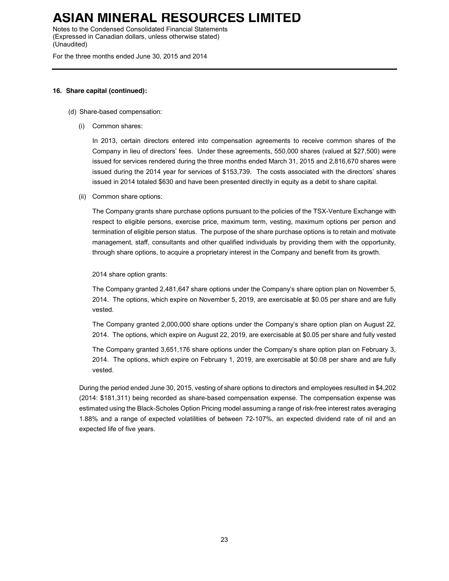Notes to the Condensed Consolidated Financial Statements (Expressed in Canadian dollars, unless otherwise stated) (Unaudited)

For the three months ended June 30, 2015 and 2014

### **16. Share capital (continued):**

- (d) Share-based compensation:
	- (i) Common shares:

In 2013, certain directors entered into compensation agreements to receive common shares of the Company in lieu of directors' fees. Under these agreements, 550,000 shares (valued at \$27,500) were issued for services rendered during the three months ended March 31, 2015 and 2,816,670 shares were issued during the 2014 year for services of \$153,739. The costs associated with the directors' shares issued in 2014 totaled \$630 and have been presented directly in equity as a debit to share capital.

(ii) Common share options:

The Company grants share purchase options pursuant to the policies of the TSX-Venture Exchange with respect to eligible persons, exercise price, maximum term, vesting, maximum options per person and termination of eligible person status. The purpose of the share purchase options is to retain and motivate management, staff, consultants and other qualified individuals by providing them with the opportunity, through share options, to acquire a proprietary interest in the Company and benefit from its growth.

2014 share option grants:

The Company granted 2,481,647 share options under the Company's share option plan on November 5, 2014. The options, which expire on November 5, 2019, are exercisable at \$0.05 per share and are fully vested.

The Company granted 2,000,000 share options under the Company's share option plan on August 22, 2014. The options, which expire on August 22, 2019, are exercisable at \$0.05 per share and fully vested

The Company granted 3,651,176 share options under the Company's share option plan on February 3, 2014. The options, which expire on February 1, 2019, are exercisable at \$0.08 per share and are fully vested.

During the period ended June 30, 2015, vesting of share options to directors and employees resulted in \$4,202 (2014: \$181,311) being recorded as share-based compensation expense. The compensation expense was estimated using the Black-Scholes Option Pricing model assuming a range of risk-free interest rates averaging 1.88% and a range of expected volatilities of between 72-107%, an expected dividend rate of nil and an expected life of five years.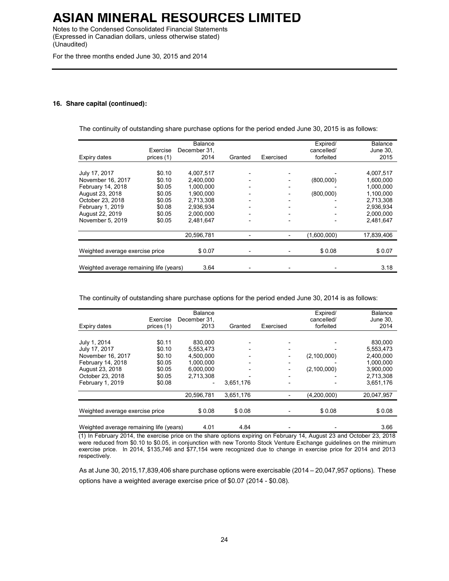Notes to the Condensed Consolidated Financial Statements (Expressed in Canadian dollars, unless otherwise stated) (Unaudited)

For the three months ended June 30, 2015 and 2014

#### **16. Share capital (continued):**

The continuity of outstanding share purchase options for the period ended June 30, 2015 is as follows:

| Expiry dates                                                                                                                                              | Exercise<br>prices (1)                                                       | <b>Balance</b><br>December 31,<br>2014                                                               | Granted                                                                          | Exercised | Expired/<br>cancelled/<br>forfeited | <b>Balance</b><br>June 30,<br>2015                                                                   |
|-----------------------------------------------------------------------------------------------------------------------------------------------------------|------------------------------------------------------------------------------|------------------------------------------------------------------------------------------------------|----------------------------------------------------------------------------------|-----------|-------------------------------------|------------------------------------------------------------------------------------------------------|
| July 17, 2017<br>November 16, 2017<br>February 14, 2018<br>August 23, 2018<br>October 23, 2018<br>February 1, 2019<br>August 22, 2019<br>November 5, 2019 | \$0.10<br>\$0.10<br>\$0.05<br>\$0.05<br>\$0.05<br>\$0.08<br>\$0.05<br>\$0.05 | 4.007.517<br>2.400.000<br>1.000.000<br>1.900.000<br>2.713.308<br>2,936,934<br>2.000.000<br>2,481,647 | $\overline{\phantom{a}}$<br>$\overline{\phantom{a}}$<br>$\overline{\phantom{a}}$ |           | (800,000)<br>(800,000)              | 4,007,517<br>1,600,000<br>1.000.000<br>1,100,000<br>2.713.308<br>2,936,934<br>2.000.000<br>2,481,647 |
| Weighted average exercise price                                                                                                                           |                                                                              | 20,596,781<br>\$0.07                                                                                 |                                                                                  |           | (1,600,000)<br>\$0.08               | 17,839,406<br>\$0.07                                                                                 |
| Weighted average remaining life (years)                                                                                                                   |                                                                              | 3.64                                                                                                 |                                                                                  |           |                                     | 3.18                                                                                                 |

The continuity of outstanding share purchase options for the period ended June 30, 2014 is as follows:

| Expiry dates                                                                                                                       | Exercise<br>prices (1)                                             | <b>Balance</b><br>December 31.<br>2013                                   | Granted             | Exercised | Expired/<br>cancelled/<br>forfeited | <b>Balance</b><br>June 30,<br>2014                                                    |
|------------------------------------------------------------------------------------------------------------------------------------|--------------------------------------------------------------------|--------------------------------------------------------------------------|---------------------|-----------|-------------------------------------|---------------------------------------------------------------------------------------|
| July 1, 2014<br>July 17, 2017<br>November 16, 2017<br>February 14, 2018<br>August 23, 2018<br>October 23, 2018<br>February 1, 2019 | \$0.11<br>\$0.10<br>\$0.10<br>\$0.05<br>\$0.05<br>\$0.05<br>\$0.08 | 830,000<br>5,553,473<br>4,500,000<br>1.000.000<br>6.000.000<br>2,713,308 | 3.651,176           |           | (2,100,000)<br>(2,100,000)          | 830,000<br>5,553,473<br>2,400,000<br>1.000.000<br>3,900,000<br>2,713,308<br>3,651,176 |
| Weighted average exercise price                                                                                                    |                                                                    | 20,596,781<br>\$0.08                                                     | 3.651.176<br>\$0.08 |           | (4,200,000)<br>\$0.08               | 20,047,957<br>\$0.08                                                                  |
| Weighted average remaining life (years)                                                                                            |                                                                    | 4.01                                                                     | 4.84                |           |                                     | 3.66                                                                                  |

(1) In February 2014, the exercise price on the share options expiring on February 14, August 23 and October 23, 2018 were reduced from \$0.10 to \$0.05, in conjunction with new Toronto Stock Venture Exchange guidelines on the minimum exercise price. In 2014, \$135,746 and \$77,154 were recognized due to change in exercise price for 2014 and 2013 respectively.

As at June 30, 2015,17,839,406 share purchase options were exercisable (2014 – 20,047,957 options). These options have a weighted average exercise price of \$0.07 (2014 - \$0.08).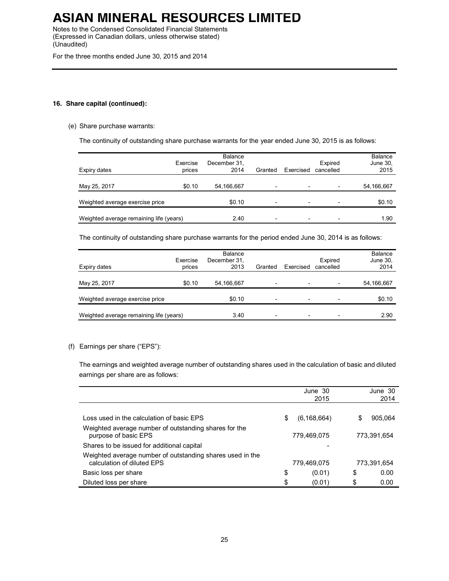Notes to the Condensed Consolidated Financial Statements (Expressed in Canadian dollars, unless otherwise stated) (Unaudited)

For the three months ended June 30, 2015 and 2014

### **16. Share capital (continued):**

### (e) Share purchase warrants:

The continuity of outstanding share purchase warrants for the year ended June 30, 2015 is as follows:

| Expiry dates                            | Exercise<br>prices | Balance<br>December 31.<br>2014 | Granted                  | Exercised                | Expired<br>cancelled     | <b>Balance</b><br>June 30,<br>2015 |
|-----------------------------------------|--------------------|---------------------------------|--------------------------|--------------------------|--------------------------|------------------------------------|
| May 25, 2017                            | \$0.10             | 54,166,667                      | $\overline{\phantom{0}}$ | $\overline{\phantom{a}}$ | -                        | 54,166,667                         |
| Weighted average exercise price         |                    | \$0.10                          | -                        | $\qquad \qquad$          | -                        | \$0.10                             |
| Weighted average remaining life (years) |                    | 2.40                            | $\overline{\phantom{0}}$ | $\overline{\phantom{a}}$ | $\overline{\phantom{0}}$ | 1.90                               |

The continuity of outstanding share purchase warrants for the period ended June 30, 2014 is as follows:

| Expiry dates                            | Exercise<br>prices | <b>Balance</b><br>December 31,<br>2013 | Granted                  | Exercised                | Expired<br>cancelled     | <b>Balance</b><br>June 30,<br>2014 |
|-----------------------------------------|--------------------|----------------------------------------|--------------------------|--------------------------|--------------------------|------------------------------------|
| May 25, 2017                            | \$0.10             | 54,166,667                             | $\overline{\phantom{0}}$ | $\overline{\phantom{a}}$ | $\overline{\phantom{0}}$ | 54,166,667                         |
| Weighted average exercise price         |                    | \$0.10                                 | $\overline{\phantom{0}}$ | $\overline{\phantom{0}}$ | -                        | \$0.10                             |
| Weighted average remaining life (years) |                    | 3.40                                   | $\overline{\phantom{0}}$ |                          |                          | 2.90                               |

### (f) Earnings per share ("EPS"):

The earnings and weighted average number of outstanding shares used in the calculation of basic and diluted earnings per share are as follows:

|                                                                                         |    | June 30<br>2015 |    | June 30<br>2014 |
|-----------------------------------------------------------------------------------------|----|-----------------|----|-----------------|
|                                                                                         |    |                 |    |                 |
| Loss used in the calculation of basic EPS                                               | S  | (6, 168, 664)   | S  | 905.064         |
| Weighted average number of outstanding shares for the<br>purpose of basic EPS           |    | 779.469.075     |    | 773,391,654     |
| Shares to be issued for additional capital                                              |    |                 |    |                 |
| Weighted average number of outstanding shares used in the<br>calculation of diluted EPS |    | 779.469.075     |    | 773,391,654     |
| Basic loss per share                                                                    | \$ | (0.01)          | \$ | 0.00            |
| Diluted loss per share                                                                  | \$ | (0.01)          | \$ | 0.00            |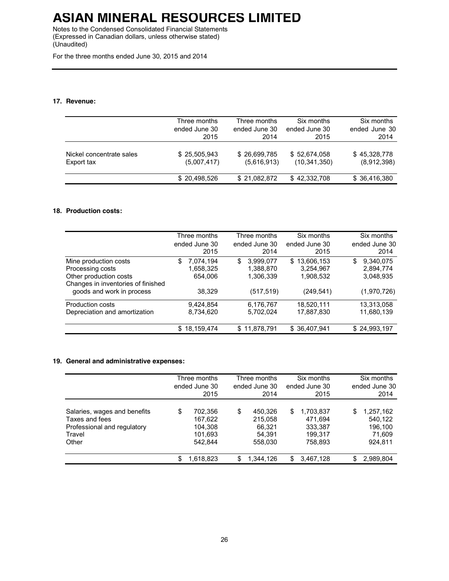Notes to the Condensed Consolidated Financial Statements (Expressed in Canadian dollars, unless otherwise stated) (Unaudited)

For the three months ended June 30, 2015 and 2014

### **17. Revenue:**

|                          | Three months  | Three months  | Six months     | Six months    |
|--------------------------|---------------|---------------|----------------|---------------|
|                          | ended June 30 | ended June 30 | ended June 30  | ended June 30 |
|                          | 2015          | 2014          | 2015           | 2014          |
| Nickel concentrate sales | \$25,505,943  | \$26,699,785  | \$52,674,058   | \$45,328,778  |
| Export tax               | (5,007,417)   | (5,616,913)   | (10, 341, 350) | (8,912,398)   |
|                          | \$20.498.526  | \$21,082,872  | \$42,332,708   | \$36,416,380  |

### **18. Production costs:**

|                                    | Three months    | Three months    | Six months       | Six months      |
|------------------------------------|-----------------|-----------------|------------------|-----------------|
|                                    | ended June 30   | ended June 30   | ended June 30    | ended June 30   |
|                                    | 2015            | 2014            | 2015             | 2014            |
| Mine production costs              | 7,074,194<br>\$ | 3,999,077<br>\$ | 13,606,153<br>\$ | \$<br>9,340,075 |
| Processing costs                   | 1,658,325       | 1,388,870       | 3,254,967        | 2,894,774       |
| Other production costs             | 654,006         | 1,306,339       | 1,908,532        | 3,048,935       |
| Changes in inventories of finished |                 |                 |                  |                 |
| goods and work in process          | 38,329          | (517, 519)      | (249, 541)       | (1,970,726)     |
| <b>Production costs</b>            | 9,424,854       | 6,176,767       | 18,520,111       | 13,313,058      |
| Depreciation and amortization      | 8,734,620       | 5,702,024       | 17,887,830       | 11,680,139      |
|                                    | \$18,159,474    | \$11,878,791    | \$36,407,941     | \$24,993,197    |
|                                    |                 |                 |                  |                 |

### **19. General and administrative expenses:**

|                                                                                                  | Three months<br>ended June 30<br>2015                     |    | Three months<br>ended June 30<br>2014             |   | Six months<br>ended June 30<br>2015                   |    | Six months<br>ended June 30<br>2014                  |  |
|--------------------------------------------------------------------------------------------------|-----------------------------------------------------------|----|---------------------------------------------------|---|-------------------------------------------------------|----|------------------------------------------------------|--|
| Salaries, wages and benefits<br>Taxes and fees<br>Professional and regulatory<br>Travel<br>Other | \$<br>702.356<br>167.622<br>104,308<br>101.693<br>542.844 | \$ | 450.326<br>215.058<br>66.321<br>54.391<br>558,030 | S | 1,703,837<br>471.694<br>333.387<br>199.317<br>758.893 | \$ | 1,257,162<br>540.122<br>196.100<br>71,609<br>924.811 |  |
|                                                                                                  | \$<br>1,618,823                                           | S  | 1,344,126                                         | S | 3,467,128                                             | S  | 2,989,804                                            |  |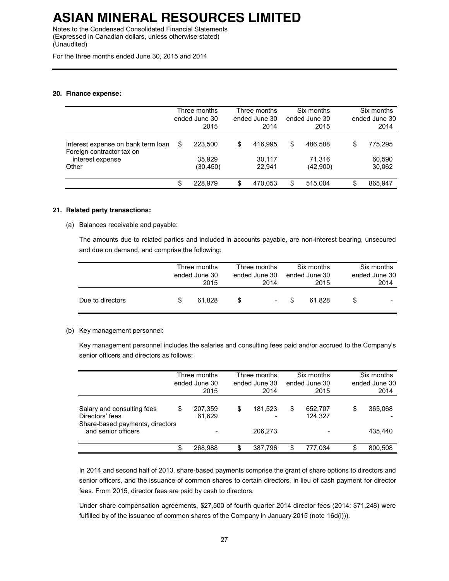Notes to the Condensed Consolidated Financial Statements (Expressed in Canadian dollars, unless otherwise stated) (Unaudited)

For the three months ended June 30, 2015 and 2014

### **20. Finance expense:**

|                                                                                              | Three months<br>ended June 30<br>2015 | Three months<br>ended June 30<br>2014 | Six months<br>ended June 30<br>2015 |    | Six months<br>ended June 30<br>2014 |
|----------------------------------------------------------------------------------------------|---------------------------------------|---------------------------------------|-------------------------------------|----|-------------------------------------|
| Interest expense on bank term loan<br>Foreign contractor tax on<br>interest expense<br>Other | \$<br>223.500<br>35.929<br>(30, 450)  | \$<br>416.995<br>30,117<br>22.941     | \$<br>486.588<br>71.316<br>(42,900) | S  | 775.295<br>60,590<br>30,062         |
|                                                                                              | \$<br>228.979                         | \$<br>470.053                         | \$<br>515.004                       | S. | 865.947                             |

### **21. Related party transactions:**

(a) Balances receivable and payable:

The amounts due to related parties and included in accounts payable, are non-interest bearing, unsecured and due on demand, and comprise the following:

|                  |   | Three months<br>ended June 30<br>2015 |   | Three months<br>ended June 30<br>2014 |   | Six months<br>ended June 30<br>2015 |    | Six months<br>ended June 30<br>2014 |
|------------------|---|---------------------------------------|---|---------------------------------------|---|-------------------------------------|----|-------------------------------------|
| Due to directors | S | 61.828                                | S | $\overline{\phantom{a}}$              | S | 61.828                              | S. |                                     |

#### (b) Key management personnel:

Key management personnel includes the salaries and consulting fees paid and/or accrued to the Company's senior officers and directors as follows:

|                                                                                                         | Three months<br>ended June 30<br>2015 |                   | Three months<br>ended June 30<br>2014 |                    | Six months<br>ended June 30<br>2015 | Six months<br>ended June 30<br>2014 |                    |
|---------------------------------------------------------------------------------------------------------|---------------------------------------|-------------------|---------------------------------------|--------------------|-------------------------------------|-------------------------------------|--------------------|
| Salary and consulting fees<br>Directors' fees<br>Share-based payments, directors<br>and senior officers | \$                                    | 207,359<br>61,629 | S                                     | 181,523<br>206,273 | \$<br>652,707<br>124,327            | S                                   | 365.068<br>435.440 |
|                                                                                                         | \$                                    | 268.988           | S                                     | 387,796            | \$<br>777.034                       |                                     | 800,508            |

In 2014 and second half of 2013, share-based payments comprise the grant of share options to directors and senior officers, and the issuance of common shares to certain directors, in lieu of cash payment for director fees. From 2015, director fees are paid by cash to directors.

Under share compensation agreements, \$27,500 of fourth quarter 2014 director fees (2014: \$71,248) were fulfilled by of the issuance of common shares of the Company in January 2015 (note 16d(i))).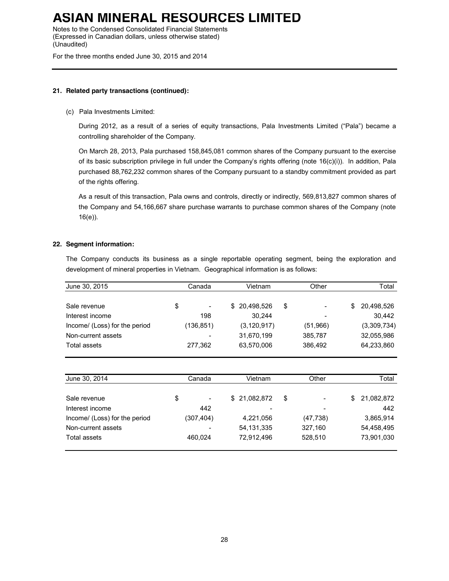Notes to the Condensed Consolidated Financial Statements (Expressed in Canadian dollars, unless otherwise stated) (Unaudited)

For the three months ended June 30, 2015 and 2014

### **21. Related party transactions (continued):**

### (c) Pala Investments Limited:

During 2012, as a result of a series of equity transactions, Pala Investments Limited ("Pala") became a controlling shareholder of the Company.

On March 28, 2013, Pala purchased 158,845,081 common shares of the Company pursuant to the exercise of its basic subscription privilege in full under the Company's rights offering (note 16(c)(i)). In addition, Pala purchased 88,762,232 common shares of the Company pursuant to a standby commitment provided as part of the rights offering.

As a result of this transaction, Pala owns and controls, directly or indirectly, 569,813,827 common shares of the Company and 54,166,667 share purchase warrants to purchase common shares of the Company (note 16(e)).

### **22. Segment information:**

The Company conducts its business as a single reportable operating segment, being the exploration and development of mineral properties in Vietnam. Geographical information is as follows:

| June 30, 2015                 |    | Canada<br>Vietnam |    | Other         |    | Total     |       |             |       |
|-------------------------------|----|-------------------|----|---------------|----|-----------|-------|-------------|-------|
|                               |    |                   |    |               |    |           |       |             |       |
| Sale revenue                  | \$ |                   | \$ | 20,498,526    | \$ |           | \$    | 20,498,526  |       |
| Interest income               |    | 198               |    | 30,244        |    |           |       | 30,442      |       |
| Income/ (Loss) for the period |    | (136, 851)        |    | (3, 120, 917) |    | (51,966)  |       | (3,309,734) |       |
| Non-current assets            |    |                   |    | 31,670,199    |    | 385,787   |       | 32,055,986  |       |
| Total assets                  |    | 277,362           |    | 63,570,006    |    | 386,492   |       | 64,233,860  |       |
|                               |    |                   |    |               |    |           |       |             |       |
| June 30, 2014                 |    | Canada            |    | Vietnam       |    |           | Other |             | Total |
| Sale revenue                  | \$ |                   | \$ | 21,082,872    | \$ |           | \$    | 21,082,872  |       |
| Interest income               |    | 442               |    |               |    |           |       | 442         |       |
| Income/ (Loss) for the period |    | (307, 404)        |    | 4,221,056     |    | (47, 738) |       | 3,865,914   |       |
| Non-current assets            |    |                   |    | 54, 131, 335  |    | 327,160   |       | 54,458,495  |       |
| Total assets                  |    | 460,024           |    | 72,912,496    |    | 528,510   |       | 73,901,030  |       |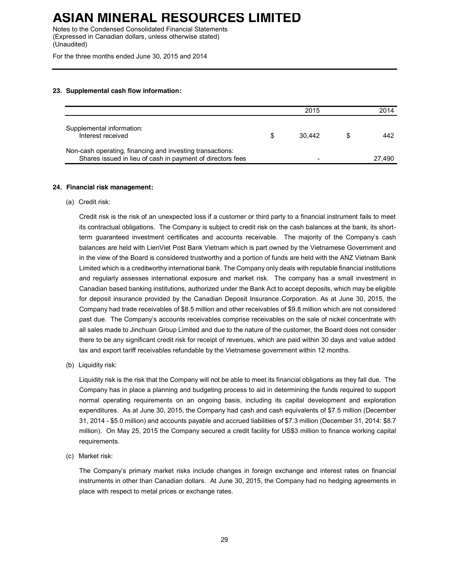Notes to the Condensed Consolidated Financial Statements (Expressed in Canadian dollars, unless otherwise stated) (Unaudited)

For the three months ended June 30, 2015 and 2014

### **23. Supplemental cash flow information:**

|                                                                                                                         | 2015   | 2014   |
|-------------------------------------------------------------------------------------------------------------------------|--------|--------|
| Supplemental information:<br>Interest received                                                                          | 30.442 | 442    |
| Non-cash operating, financing and investing transactions:<br>Shares issued in lieu of cash in payment of directors fees |        | 27.490 |

#### **24. Financial risk management:**

(a) Credit risk:

Credit risk is the risk of an unexpected loss if a customer or third party to a financial instrument fails to meet its contractual obligations. The Company is subject to credit risk on the cash balances at the bank, its shortterm guaranteed investment certificates and accounts receivable. The majority of the Company's cash balances are held with LienViet Post Bank Vietnam which is part owned by the Vietnamese Government and in the view of the Board is considered trustworthy and a portion of funds are held with the ANZ Vietnam Bank Limited which is a creditworthy international bank. The Company only deals with reputable financial institutions and regularly assesses international exposure and market risk. The company has a small investment in Canadian based banking institutions, authorized under the Bank Act to accept deposits, which may be eligible for deposit insurance provided by the Canadian Deposit Insurance Corporation. As at June 30, 2015, the Company had trade receivables of \$8.5 million and other receivables of \$9.8 million which are not considered past due. The Company's accounts receivables comprise receivables on the sale of nickel concentrate with all sales made to Jinchuan Group Limited and due to the nature of the customer, the Board does not consider there to be any significant credit risk for receipt of revenues, which are paid within 30 days and value added tax and export tariff receivables refundable by the Vietnamese government within 12 months.

(b) Liquidity risk:

Liquidity risk is the risk that the Company will not be able to meet its financial obligations as they fall due. The Company has in place a planning and budgeting process to aid in determining the funds required to support normal operating requirements on an ongoing basis, including its capital development and exploration expenditures. As at June 30, 2015, the Company had cash and cash equivalents of \$7.5 million (December 31, 2014 - \$5.0 million) and accounts payable and accrued liabilities of \$7.3 million (December 31, 2014: \$8.7 million). On May 25, 2015 the Company secured a credit facility for US\$3 million to finance working capital requirements.

(c) Market risk:

The Company's primary market risks include changes in foreign exchange and interest rates on financial instruments in other than Canadian dollars. At June 30, 2015, the Company had no hedging agreements in place with respect to metal prices or exchange rates.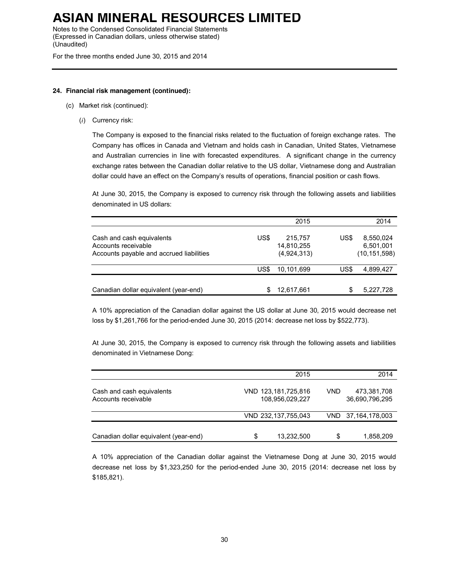Notes to the Condensed Consolidated Financial Statements (Expressed in Canadian dollars, unless otherwise stated) (Unaudited)

For the three months ended June 30, 2015 and 2014

#### **24. Financial risk management (continued):**

- (c) Market risk (continued):
	- (*i*) Currency risk:

The Company is exposed to the financial risks related to the fluctuation of foreign exchange rates. The Company has offices in Canada and Vietnam and holds cash in Canadian, United States, Vietnamese and Australian currencies in line with forecasted expenditures. A significant change in the currency exchange rates between the Canadian dollar relative to the US dollar, Vietnamese dong and Australian dollar could have an effect on the Company's results of operations, financial position or cash flows.

At June 30, 2015, the Company is exposed to currency risk through the following assets and liabilities denominated in US dollars:

|                                                                                              |      | 2015                                 |      | 2014                                     |
|----------------------------------------------------------------------------------------------|------|--------------------------------------|------|------------------------------------------|
| Cash and cash equivalents<br>Accounts receivable<br>Accounts payable and accrued liabilities | US\$ | 215,757<br>14,810,255<br>(4,924,313) | US\$ | 8,550,024<br>6,501,001<br>(10, 151, 598) |
|                                                                                              | US\$ | 10.101.699                           | US\$ | 4,899,427                                |
| Canadian dollar equivalent (year-end)                                                        |      | 12.617.661                           | J.   | 5,227,728                                |

A 10% appreciation of the Canadian dollar against the US dollar at June 30, 2015 would decrease net loss by \$1,261,766 for the period-ended June 30, 2015 (2014: decrease net loss by \$522,773).

At June 30, 2015, the Company is exposed to currency risk through the following assets and liabilities denominated in Vietnamese Dong:

|                                                  | 2015                                   |            | 2014                          |
|--------------------------------------------------|----------------------------------------|------------|-------------------------------|
| Cash and cash equivalents<br>Accounts receivable | VND 123,181,725,816<br>108.956.029.227 | <b>VND</b> | 473,381,708<br>36,690,796,295 |
|                                                  | VND 232,137,755,043                    |            | VND 37,164,178,003            |
| Canadian dollar equivalent (year-end)            | \$<br>13,232,500                       | \$         | 1,858,209                     |

A 10% appreciation of the Canadian dollar against the Vietnamese Dong at June 30, 2015 would decrease net loss by \$1,323,250 for the period-ended June 30, 2015 (2014: decrease net loss by \$185,821).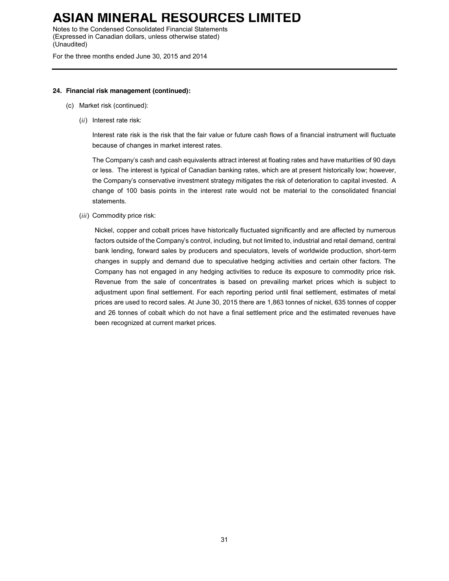Notes to the Condensed Consolidated Financial Statements (Expressed in Canadian dollars, unless otherwise stated) (Unaudited)

For the three months ended June 30, 2015 and 2014

### **24. Financial risk management (continued):**

- (c) Market risk (continued):
	- (*ii*) Interest rate risk:

Interest rate risk is the risk that the fair value or future cash flows of a financial instrument will fluctuate because of changes in market interest rates.

The Company's cash and cash equivalents attract interest at floating rates and have maturities of 90 days or less. The interest is typical of Canadian banking rates, which are at present historically low; however, the Company's conservative investment strategy mitigates the risk of deterioration to capital invested. A change of 100 basis points in the interest rate would not be material to the consolidated financial statements.

(*iii*) Commodity price risk:

Nickel, copper and cobalt prices have historically fluctuated significantly and are affected by numerous factors outside of the Company's control, including, but not limited to, industrial and retail demand, central bank lending, forward sales by producers and speculators, levels of worldwide production, short-term changes in supply and demand due to speculative hedging activities and certain other factors. The Company has not engaged in any hedging activities to reduce its exposure to commodity price risk. Revenue from the sale of concentrates is based on prevailing market prices which is subject to adjustment upon final settlement. For each reporting period until final settlement, estimates of metal prices are used to record sales. At June 30, 2015 there are 1,863 tonnes of nickel, 635 tonnes of copper and 26 tonnes of cobalt which do not have a final settlement price and the estimated revenues have been recognized at current market prices.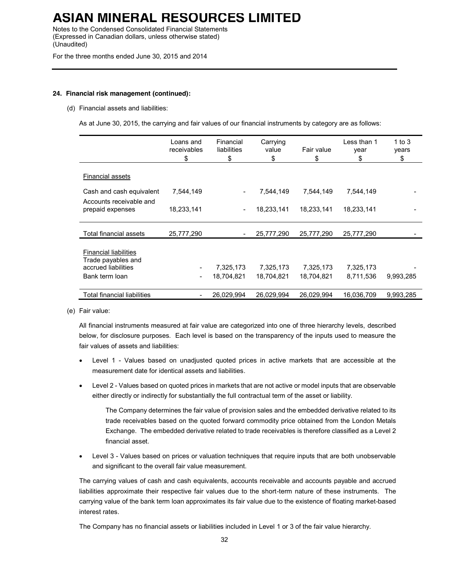Notes to the Condensed Consolidated Financial Statements (Expressed in Canadian dollars, unless otherwise stated) (Unaudited)

For the three months ended June 30, 2015 and 2014

### **24. Financial risk management (continued):**

#### (d) Financial assets and liabilities:

As at June 30, 2015, the carrying and fair values of our financial instruments by category are as follows:

|                                                                                             | Loans and<br>receivables<br>\$ | Financial<br>liabilities<br>\$ | Carrying<br>value<br>\$ | Fair value<br>\$        | Less than 1<br>year<br>\$ | 1 to $3$<br>years<br>\$ |
|---------------------------------------------------------------------------------------------|--------------------------------|--------------------------------|-------------------------|-------------------------|---------------------------|-------------------------|
| Financial assets                                                                            |                                |                                |                         |                         |                           |                         |
| Cash and cash equivalent                                                                    | 7,544,149                      |                                | 7,544,149               | 7,544,149               | 7,544,149                 |                         |
| Accounts receivable and<br>prepaid expenses                                                 | 18,233,141                     |                                | 18,233,141              | 18,233,141              | 18,233,141                |                         |
| Total financial assets                                                                      | 25,777,290                     |                                | 25,777,290              | 25,777,290              | 25,777,290                |                         |
| <b>Financial liabilities</b><br>Trade payables and<br>accrued liabilities<br>Bank term loan | $\qquad \qquad \blacksquare$   | 7,325,173<br>18,704,821        | 7,325,173<br>18,704,821 | 7,325,173<br>18,704,821 | 7,325,173<br>8,711,536    | 9,993,285               |
| Total financial liabilities                                                                 | $\overline{\phantom{a}}$       | 26,029,994                     | 26,029,994              | 26,029,994              | 16,036,709                | 9,993,285               |

(e) Fair value:

All financial instruments measured at fair value are categorized into one of three hierarchy levels, described below, for disclosure purposes. Each level is based on the transparency of the inputs used to measure the fair values of assets and liabilities:

- Level 1 Values based on unadjusted quoted prices in active markets that are accessible at the measurement date for identical assets and liabilities.
- Level 2 Values based on quoted prices in markets that are not active or model inputs that are observable either directly or indirectly for substantially the full contractual term of the asset or liability.

The Company determines the fair value of provision sales and the embedded derivative related to its trade receivables based on the quoted forward commodity price obtained from the London Metals Exchange. The embedded derivative related to trade receivables is therefore classified as a Level 2 financial asset.

• Level 3 - Values based on prices or valuation techniques that require inputs that are both unobservable and significant to the overall fair value measurement.

The carrying values of cash and cash equivalents, accounts receivable and accounts payable and accrued liabilities approximate their respective fair values due to the short-term nature of these instruments. The carrying value of the bank term loan approximates its fair value due to the existence of floating market-based interest rates.

The Company has no financial assets or liabilities included in Level 1 or 3 of the fair value hierarchy.